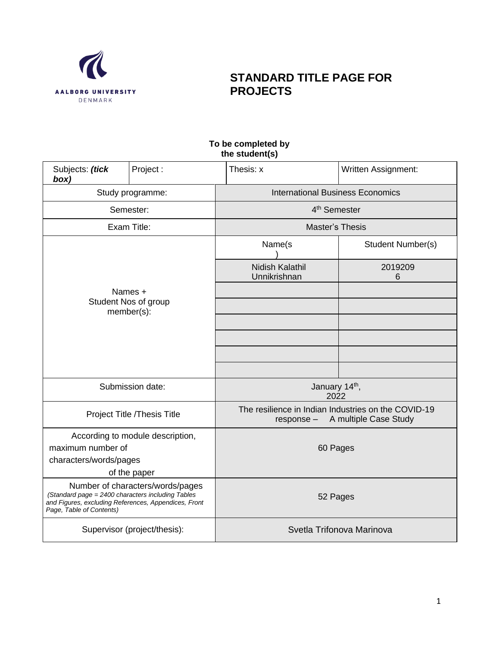

# **STANDARD TITLE PAGE FOR PROJECTS**

### **To be completed by the student(s)**

| Subjects: (tick<br>box)                                                                                                               | Project:                         | Thesis: x                                                           | <b>Written Assignment:</b> |  |  |
|---------------------------------------------------------------------------------------------------------------------------------------|----------------------------------|---------------------------------------------------------------------|----------------------------|--|--|
|                                                                                                                                       | Study programme:                 | <b>International Business Economics</b>                             |                            |  |  |
|                                                                                                                                       | Semester:                        | 4 <sup>th</sup> Semester                                            |                            |  |  |
| Exam Title:                                                                                                                           |                                  | Master's Thesis                                                     |                            |  |  |
|                                                                                                                                       |                                  | Name(s                                                              | Student Number(s)          |  |  |
|                                                                                                                                       |                                  | Nidish Kalathil<br>Unnikrishnan                                     | 2019209<br>6               |  |  |
|                                                                                                                                       | Names +<br>Student Nos of group  |                                                                     |                            |  |  |
|                                                                                                                                       | member(s):                       |                                                                     |                            |  |  |
|                                                                                                                                       |                                  |                                                                     |                            |  |  |
|                                                                                                                                       |                                  |                                                                     |                            |  |  |
|                                                                                                                                       |                                  |                                                                     |                            |  |  |
|                                                                                                                                       | Submission date:                 | January 14th,<br>2022                                               |                            |  |  |
|                                                                                                                                       | Project Title /Thesis Title      | The resilience in Indian Industries on the COVID-19<br>$response -$ | A multiple Case Study      |  |  |
|                                                                                                                                       | According to module description, |                                                                     |                            |  |  |
| maximum number of                                                                                                                     |                                  | 60 Pages                                                            |                            |  |  |
| characters/words/pages                                                                                                                |                                  |                                                                     |                            |  |  |
|                                                                                                                                       | of the paper                     |                                                                     |                            |  |  |
| (Standard page = 2400 characters including Tables<br>and Figures, excluding References, Appendices, Front<br>Page, Table of Contents) | Number of characters/words/pages | 52 Pages                                                            |                            |  |  |
|                                                                                                                                       | Supervisor (project/thesis):     | Svetla Trifonova Marinova                                           |                            |  |  |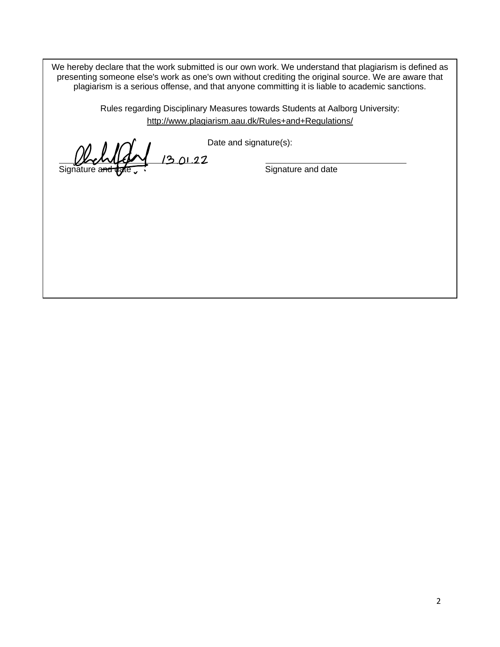We hereby declare that the work submitted is our own work. We understand that plagiarism is defined as presenting someone else's work as one's own without crediting the original source. We are aware that plagiarism is a serious offense, and that anyone committing it is liable to academic sanctions.

> Rules regarding Disciplinary Measures towards Students at Aalborg University: [http://www.plagiarism.aau.dk/Rules+and+Regulations/](http://www.plagiarism.aau.dk/Rules%2Band%2BRegulations/)

Signature and date

Date and signature(s):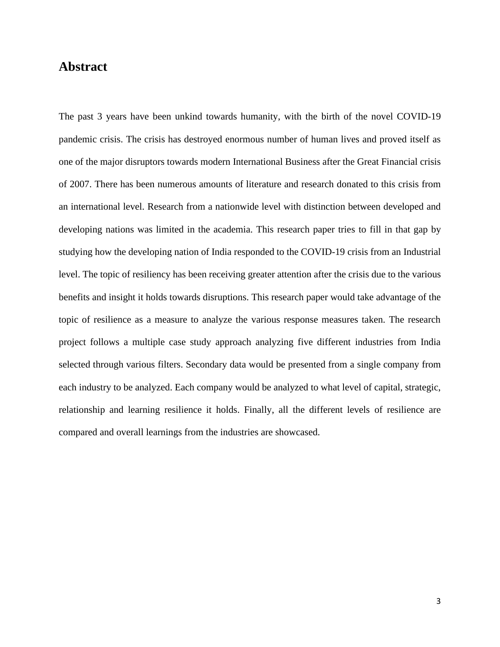## **Abstract**

The past 3 years have been unkind towards humanity, with the birth of the novel COVID-19 pandemic crisis. The crisis has destroyed enormous number of human lives and proved itself as one of the major disruptors towards modern International Business after the Great Financial crisis of 2007. There has been numerous amounts of literature and research donated to this crisis from an international level. Research from a nationwide level with distinction between developed and developing nations was limited in the academia. This research paper tries to fill in that gap by studying how the developing nation of India responded to the COVID-19 crisis from an Industrial level. The topic of resiliency has been receiving greater attention after the crisis due to the various benefits and insight it holds towards disruptions. This research paper would take advantage of the topic of resilience as a measure to analyze the various response measures taken. The research project follows a multiple case study approach analyzing five different industries from India selected through various filters. Secondary data would be presented from a single company from each industry to be analyzed. Each company would be analyzed to what level of capital, strategic, relationship and learning resilience it holds. Finally, all the different levels of resilience are compared and overall learnings from the industries are showcased.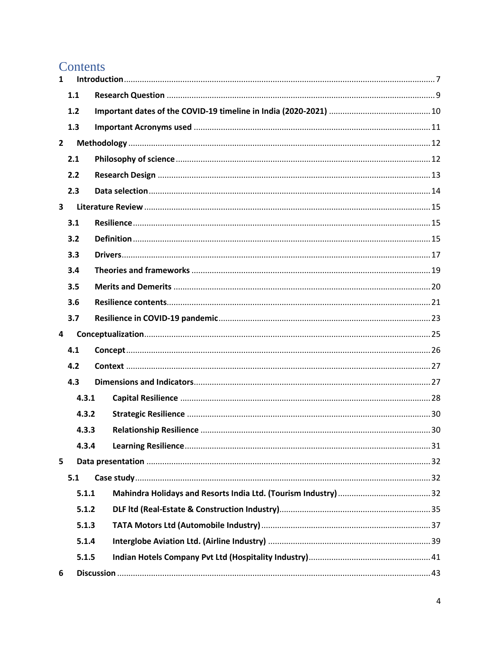# Contents

| $\mathbf{1}$            |     |       |  |
|-------------------------|-----|-------|--|
|                         | 1.1 |       |  |
|                         | 1.2 |       |  |
|                         | 1.3 |       |  |
| $\overline{2}$          |     |       |  |
|                         | 2.1 |       |  |
|                         | 2.2 |       |  |
|                         | 2.3 |       |  |
| $\overline{\mathbf{3}}$ |     |       |  |
|                         | 3.1 |       |  |
|                         | 3.2 |       |  |
|                         | 3.3 |       |  |
|                         | 3.4 |       |  |
|                         | 3.5 |       |  |
|                         | 3.6 |       |  |
|                         | 3.7 |       |  |
| 4                       |     |       |  |
|                         | 4.1 |       |  |
|                         | 4.2 |       |  |
|                         | 4.3 |       |  |
|                         |     | 4.3.1 |  |
|                         |     | 4.3.2 |  |
|                         |     | 4.3.3 |  |
|                         |     | 4.3.4 |  |
| 5                       |     |       |  |
|                         | 5.1 |       |  |
|                         |     | 5.1.1 |  |
|                         |     | 5.1.2 |  |
|                         |     | 5.1.3 |  |
|                         |     | 5.1.4 |  |
|                         |     | 5.1.5 |  |
| 6                       |     |       |  |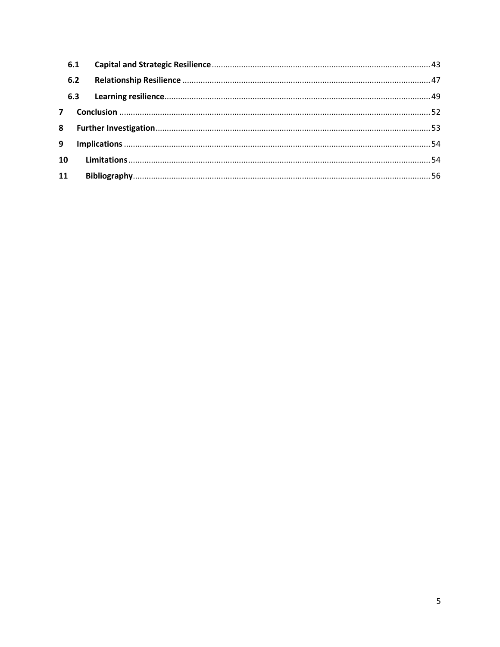|    | 6.1 |  |
|----|-----|--|
|    | 6.2 |  |
|    |     |  |
|    |     |  |
|    |     |  |
| 9  |     |  |
| 10 |     |  |
| 11 |     |  |
|    |     |  |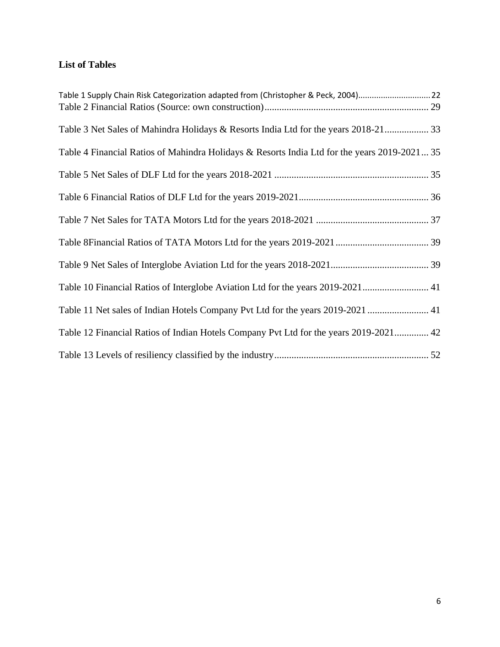## **List of Tables**

| Table 1 Supply Chain Risk Categorization adapted from (Christopher & Peck, 2004)22           |  |
|----------------------------------------------------------------------------------------------|--|
|                                                                                              |  |
| Table 3 Net Sales of Mahindra Holidays & Resorts India Ltd for the years 2018-21 33          |  |
| Table 4 Financial Ratios of Mahindra Holidays & Resorts India Ltd for the years 2019-2021 35 |  |
|                                                                                              |  |
|                                                                                              |  |
|                                                                                              |  |
|                                                                                              |  |
|                                                                                              |  |
| Table 10 Financial Ratios of Interglobe Aviation Ltd for the years 2019-2021 41              |  |
| Table 11 Net sales of Indian Hotels Company Pvt Ltd for the years 2019-2021  41              |  |
| Table 12 Financial Ratios of Indian Hotels Company Pvt Ltd for the years 2019-2021 42        |  |
|                                                                                              |  |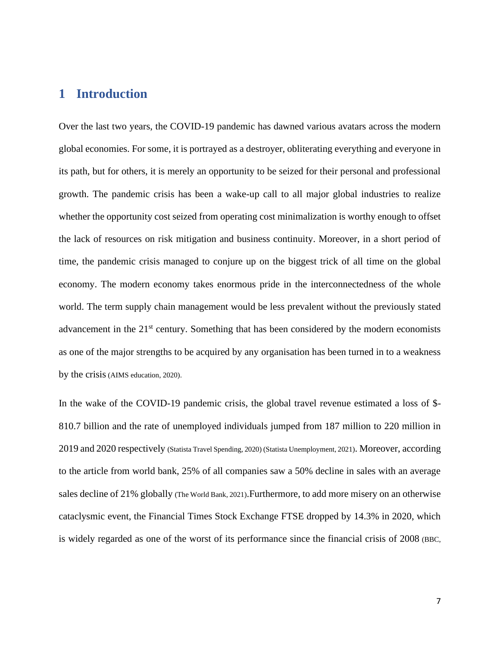## <span id="page-6-0"></span>**1 Introduction**

Over the last two years, the COVID-19 pandemic has dawned various avatars across the modern global economies. For some, it is portrayed as a destroyer, obliterating everything and everyone in its path, but for others, it is merely an opportunity to be seized for their personal and professional growth. The pandemic crisis has been a wake-up call to all major global industries to realize whether the opportunity cost seized from operating cost minimalization is worthy enough to offset the lack of resources on risk mitigation and business continuity. Moreover, in a short period of time, the pandemic crisis managed to conjure up on the biggest trick of all time on the global economy. The modern economy takes enormous pride in the interconnectedness of the whole world. The term supply chain management would be less prevalent without the previously stated advancement in the 21<sup>st</sup> century. Something that has been considered by the modern economists as one of the major strengths to be acquired by any organisation has been turned in to a weakness by the crisis(AIMS education, 2020).

In the wake of the COVID-19 pandemic crisis, the global travel revenue estimated a loss of \$-810.7 billion and the rate of unemployed individuals jumped from 187 million to 220 million in 2019 and 2020 respectively (Statista Travel Spending, 2020) (Statista Unemployment, 2021). Moreover, according to the article from world bank, 25% of all companies saw a 50% decline in sales with an average sales decline of 21% globally (The World Bank, 2021). Furthermore, to add more misery on an otherwise cataclysmic event, the Financial Times Stock Exchange FTSE dropped by 14.3% in 2020, which is widely regarded as one of the worst of its performance since the financial crisis of 2008 (BBC,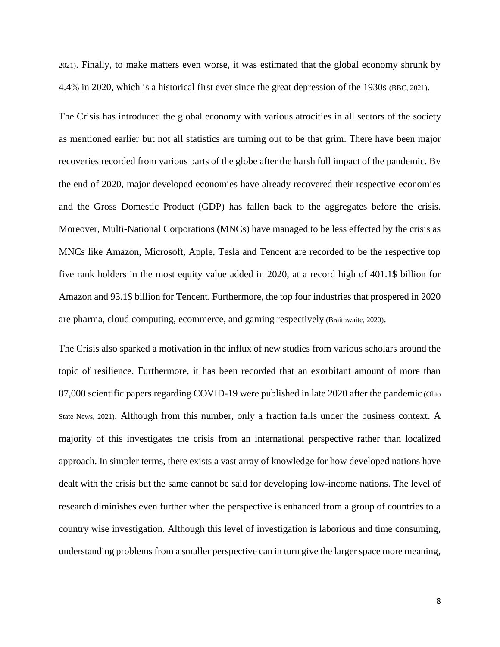2021). Finally, to make matters even worse, it was estimated that the global economy shrunk by 4.4% in 2020, which is a historical first ever since the great depression of the 1930s (BBC, 2021).

The Crisis has introduced the global economy with various atrocities in all sectors of the society as mentioned earlier but not all statistics are turning out to be that grim. There have been major recoveries recorded from various parts of the globe after the harsh full impact of the pandemic. By the end of 2020, major developed economies have already recovered their respective economies and the Gross Domestic Product (GDP) has fallen back to the aggregates before the crisis. Moreover, Multi-National Corporations (MNCs) have managed to be less effected by the crisis as MNCs like Amazon, Microsoft, Apple, Tesla and Tencent are recorded to be the respective top five rank holders in the most equity value added in 2020, at a record high of 401.1\$ billion for Amazon and 93.1\$ billion for Tencent. Furthermore, the top four industries that prospered in 2020 are pharma, cloud computing, ecommerce, and gaming respectively (Braithwaite, 2020).

The Crisis also sparked a motivation in the influx of new studies from various scholars around the topic of resilience. Furthermore, it has been recorded that an exorbitant amount of more than 87,000 scientific papers regarding COVID-19 were published in late 2020 after the pandemic (Ohio State News, 2021). Although from this number, only a fraction falls under the business context. A majority of this investigates the crisis from an international perspective rather than localized approach. In simpler terms, there exists a vast array of knowledge for how developed nations have dealt with the crisis but the same cannot be said for developing low-income nations. The level of research diminishes even further when the perspective is enhanced from a group of countries to a country wise investigation. Although this level of investigation is laborious and time consuming, understanding problems from a smaller perspective can in turn give the larger space more meaning,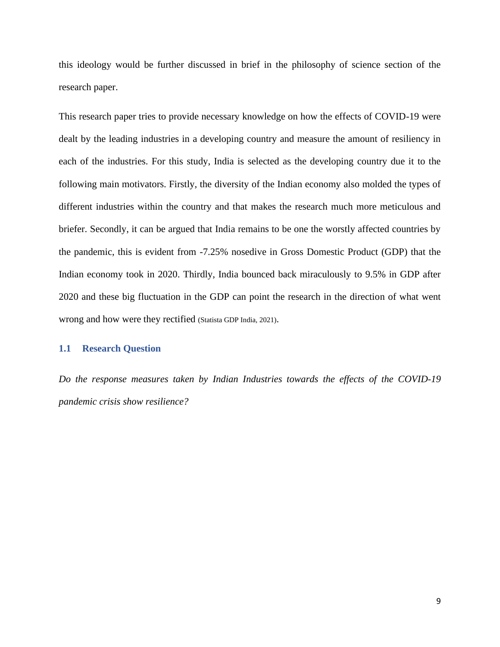this ideology would be further discussed in brief in the philosophy of science section of the research paper.

This research paper tries to provide necessary knowledge on how the effects of COVID-19 were dealt by the leading industries in a developing country and measure the amount of resiliency in each of the industries. For this study, India is selected as the developing country due it to the following main motivators. Firstly, the diversity of the Indian economy also molded the types of different industries within the country and that makes the research much more meticulous and briefer. Secondly, it can be argued that India remains to be one the worstly affected countries by the pandemic, this is evident from -7.25% nosedive in Gross Domestic Product (GDP) that the Indian economy took in 2020. Thirdly, India bounced back miraculously to 9.5% in GDP after 2020 and these big fluctuation in the GDP can point the research in the direction of what went wrong and how were they rectified (Statista GDP India, 2021).

### <span id="page-8-0"></span>**1.1 Research Question**

*Do the response measures taken by Indian Industries towards the effects of the COVID-19 pandemic crisis show resilience?*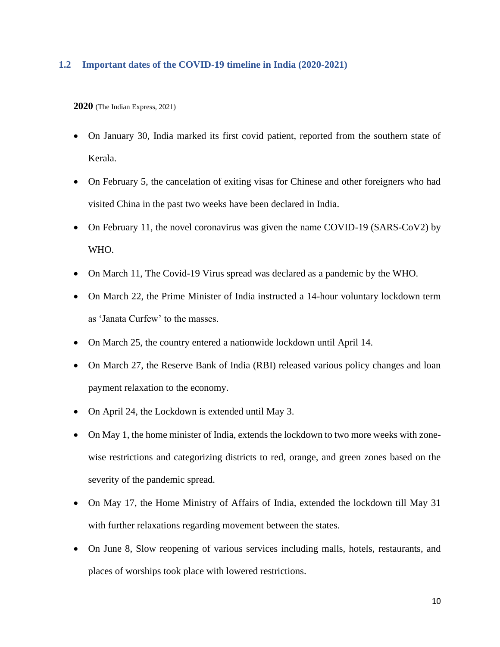### <span id="page-9-0"></span>**1.2 Important dates of the COVID-19 timeline in India (2020-2021)**

**2020** (The Indian Express, 2021)

- On January 30, India marked its first covid patient, reported from the southern state of Kerala.
- On February 5, the cancelation of exiting visas for Chinese and other foreigners who had visited China in the past two weeks have been declared in India.
- On February 11, the novel coronavirus was given the name COVID-19 (SARS-CoV2) by WHO.
- On March 11, The Covid-19 Virus spread was declared as a pandemic by the WHO.
- On March 22, the Prime Minister of India instructed a 14-hour voluntary lockdown term as 'Janata Curfew' to the masses.
- On March 25, the country entered a nationwide lockdown until April 14.
- On March 27, the Reserve Bank of India (RBI) released various policy changes and loan payment relaxation to the economy.
- On April 24, the Lockdown is extended until May 3.
- On May 1, the home minister of India, extends the lockdown to two more weeks with zonewise restrictions and categorizing districts to red, orange, and green zones based on the severity of the pandemic spread.
- On May 17, the Home Ministry of Affairs of India, extended the lockdown till May 31 with further relaxations regarding movement between the states.
- On June 8, Slow reopening of various services including malls, hotels, restaurants, and places of worships took place with lowered restrictions.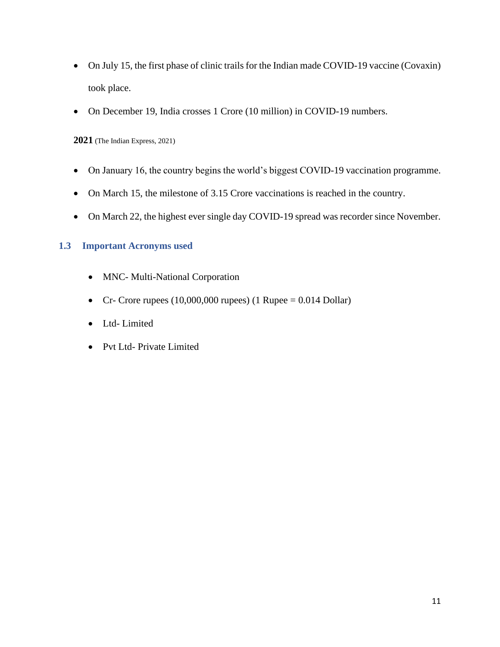- On July 15, the first phase of clinic trails for the Indian made COVID-19 vaccine (Covaxin) took place.
- On December 19, India crosses 1 Crore (10 million) in COVID-19 numbers.

**2021** (The Indian Express, 2021)

- On January 16, the country begins the world's biggest COVID-19 vaccination programme.
- On March 15, the milestone of 3.15 Crore vaccinations is reached in the country.
- On March 22, the highest ever single day COVID-19 spread was recorder since November.

### <span id="page-10-0"></span>**1.3 Important Acronyms used**

- MNC- Multi-National Corporation
- Cr- Crore rupees  $(10,000,000$  rupees)  $(1$  Rupee = 0.014 Dollar)
- Ltd- Limited
- Pvt Ltd- Private Limited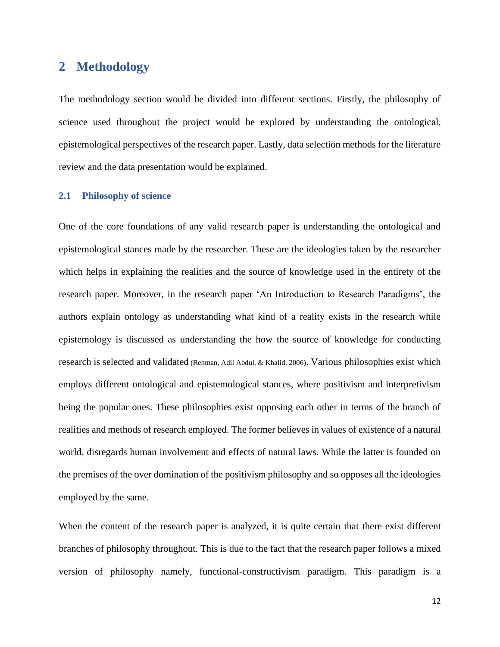## <span id="page-11-0"></span>**2 Methodology**

The methodology section would be divided into different sections. Firstly, the philosophy of science used throughout the project would be explored by understanding the ontological, epistemological perspectives of the research paper. Lastly, data selection methods for the literature review and the data presentation would be explained.

#### <span id="page-11-1"></span>**2.1 Philosophy of science**

One of the core foundations of any valid research paper is understanding the ontological and epistemological stances made by the researcher. These are the ideologies taken by the researcher which helps in explaining the realities and the source of knowledge used in the entirety of the research paper. Moreover, in the research paper 'An Introduction to Research Paradigms', the authors explain ontology as understanding what kind of a reality exists in the research while epistemology is discussed as understanding the how the source of knowledge for conducting research is selected and validated (Rehman, Adil Abdul, & Khalid, 2006). Various philosophies exist which employs different ontological and epistemological stances, where positivism and interpretivism being the popular ones. These philosophies exist opposing each other in terms of the branch of realities and methods of research employed. The former believes in values of existence of a natural world, disregards human involvement and effects of natural laws. While the latter is founded on the premises of the over domination of the positivism philosophy and so opposes all the ideologies employed by the same.

When the content of the research paper is analyzed, it is quite certain that there exist different branches of philosophy throughout. This is due to the fact that the research paper follows a mixed version of philosophy namely, functional-constructivism paradigm. This paradigm is a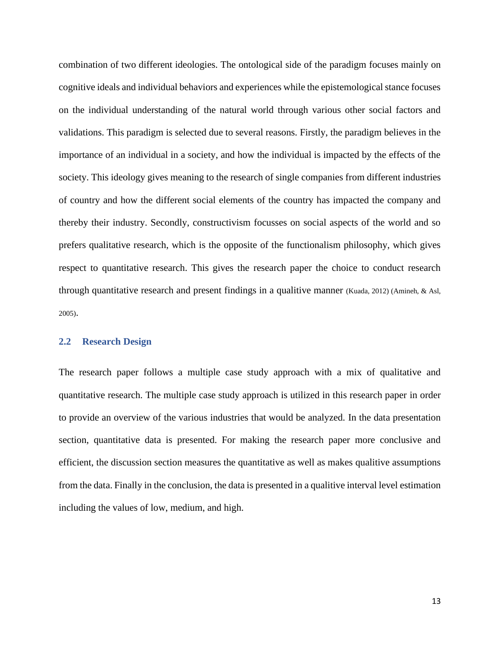combination of two different ideologies. The ontological side of the paradigm focuses mainly on cognitive ideals and individual behaviors and experiences while the epistemological stance focuses on the individual understanding of the natural world through various other social factors and validations. This paradigm is selected due to several reasons. Firstly, the paradigm believes in the importance of an individual in a society, and how the individual is impacted by the effects of the society. This ideology gives meaning to the research of single companies from different industries of country and how the different social elements of the country has impacted the company and thereby their industry. Secondly, constructivism focusses on social aspects of the world and so prefers qualitative research, which is the opposite of the functionalism philosophy, which gives respect to quantitative research. This gives the research paper the choice to conduct research through quantitative research and present findings in a qualitive manner (Kuada, 2012) (Amineh, & Asl, 2005).

#### <span id="page-12-0"></span>**2.2 Research Design**

The research paper follows a multiple case study approach with a mix of qualitative and quantitative research. The multiple case study approach is utilized in this research paper in order to provide an overview of the various industries that would be analyzed. In the data presentation section, quantitative data is presented. For making the research paper more conclusive and efficient, the discussion section measures the quantitative as well as makes qualitive assumptions from the data. Finally in the conclusion, the data is presented in a qualitive interval level estimation including the values of low, medium, and high.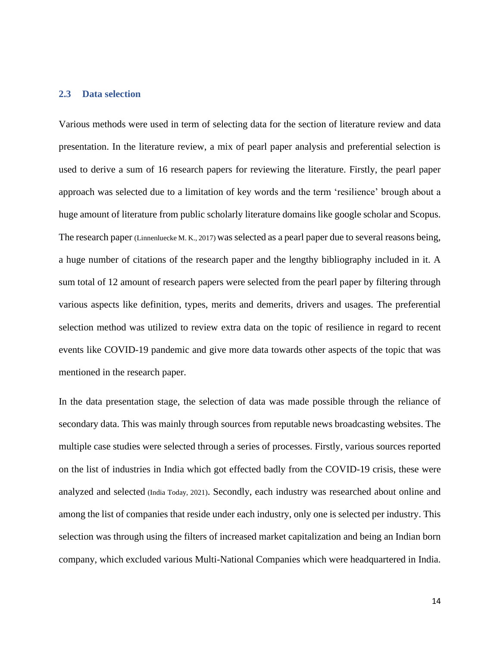#### <span id="page-13-0"></span>**2.3 Data selection**

Various methods were used in term of selecting data for the section of literature review and data presentation. In the literature review, a mix of pearl paper analysis and preferential selection is used to derive a sum of 16 research papers for reviewing the literature. Firstly, the pearl paper approach was selected due to a limitation of key words and the term 'resilience' brough about a huge amount of literature from public scholarly literature domains like google scholar and Scopus. The research paper (Linnenluecke M. K., 2017) was selected as a pearl paper due to several reasons being, a huge number of citations of the research paper and the lengthy bibliography included in it. A sum total of 12 amount of research papers were selected from the pearl paper by filtering through various aspects like definition, types, merits and demerits, drivers and usages. The preferential selection method was utilized to review extra data on the topic of resilience in regard to recent events like COVID-19 pandemic and give more data towards other aspects of the topic that was mentioned in the research paper.

In the data presentation stage, the selection of data was made possible through the reliance of secondary data. This was mainly through sources from reputable news broadcasting websites. The multiple case studies were selected through a series of processes. Firstly, various sources reported on the list of industries in India which got effected badly from the COVID-19 crisis, these were analyzed and selected (India Today, 2021). Secondly, each industry was researched about online and among the list of companies that reside under each industry, only one is selected per industry. This selection was through using the filters of increased market capitalization and being an Indian born company, which excluded various Multi-National Companies which were headquartered in India.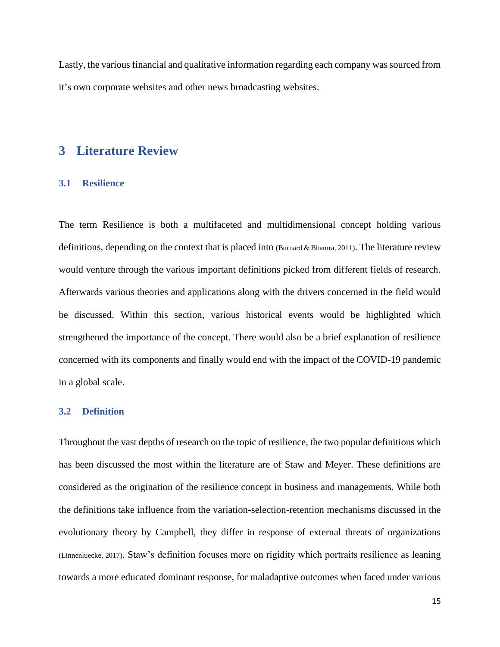Lastly, the various financial and qualitative information regarding each company was sourced from it's own corporate websites and other news broadcasting websites.

## <span id="page-14-0"></span>**3 Literature Review**

### <span id="page-14-1"></span>**3.1 Resilience**

The term Resilience is both a multifaceted and multidimensional concept holding various definitions, depending on the context that is placed into (Burnard & Bhamra, 2011). The literature review would venture through the various important definitions picked from different fields of research. Afterwards various theories and applications along with the drivers concerned in the field would be discussed. Within this section, various historical events would be highlighted which strengthened the importance of the concept. There would also be a brief explanation of resilience concerned with its components and finally would end with the impact of the COVID-19 pandemic in a global scale.

#### <span id="page-14-2"></span>**3.2 Definition**

Throughout the vast depths of research on the topic of resilience, the two popular definitions which has been discussed the most within the literature are of Staw and Meyer. These definitions are considered as the origination of the resilience concept in business and managements. While both the definitions take influence from the variation-selection-retention mechanisms discussed in the evolutionary theory by Campbell, they differ in response of external threats of organizations (Linnenluecke, 2017). Staw's definition focuses more on rigidity which portraits resilience as leaning towards a more educated dominant response, for maladaptive outcomes when faced under various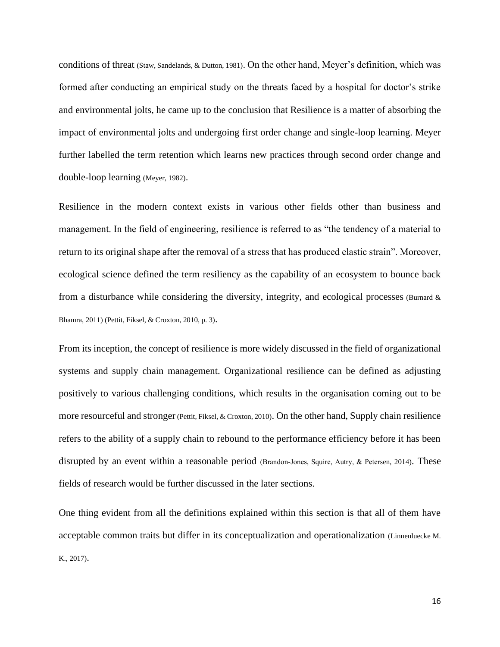conditions of threat (Staw, Sandelands, & Dutton, 1981). On the other hand, Meyer's definition, which was formed after conducting an empirical study on the threats faced by a hospital for doctor's strike and environmental jolts, he came up to the conclusion that Resilience is a matter of absorbing the impact of environmental jolts and undergoing first order change and single-loop learning. Meyer further labelled the term retention which learns new practices through second order change and double-loop learning (Meyer, 1982).

Resilience in the modern context exists in various other fields other than business and management. In the field of engineering, resilience is referred to as "the tendency of a material to return to its original shape after the removal of a stress that has produced elastic strain". Moreover, ecological science defined the term resiliency as the capability of an ecosystem to bounce back from a disturbance while considering the diversity, integrity, and ecological processes (Burnard  $\&$ Bhamra, 2011) (Pettit, Fiksel, & Croxton, 2010, p. 3).

From its inception, the concept of resilience is more widely discussed in the field of organizational systems and supply chain management. Organizational resilience can be defined as adjusting positively to various challenging conditions, which results in the organisation coming out to be more resourceful and stronger (Pettit, Fiksel, & Croxton, 2010). On the other hand, Supply chain resilience refers to the ability of a supply chain to rebound to the performance efficiency before it has been disrupted by an event within a reasonable period (Brandon‐Jones, Squire, Autry, & Petersen, 2014). These fields of research would be further discussed in the later sections.

One thing evident from all the definitions explained within this section is that all of them have acceptable common traits but differ in its conceptualization and operationalization (Linnenluecke M. K., 2017).

16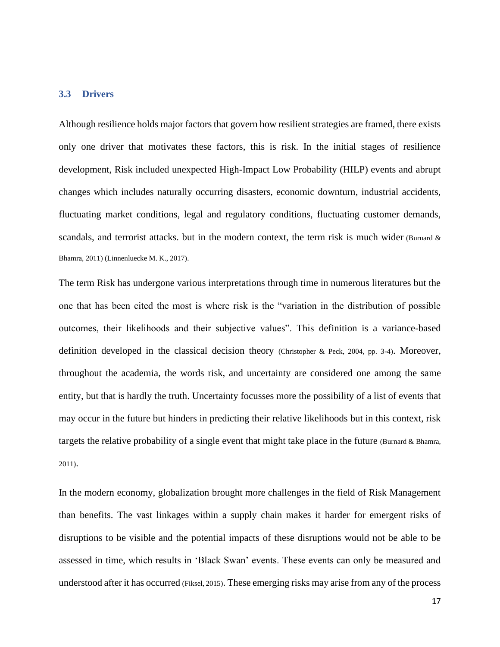#### <span id="page-16-0"></span>**3.3 Drivers**

Although resilience holds major factors that govern how resilient strategies are framed, there exists only one driver that motivates these factors, this is risk. In the initial stages of resilience development, Risk included unexpected High-Impact Low Probability (HILP) events and abrupt changes which includes naturally occurring disasters, economic downturn, industrial accidents, fluctuating market conditions, legal and regulatory conditions, fluctuating customer demands, scandals, and terrorist attacks. but in the modern context, the term risk is much wider (Burnard  $\&$ Bhamra, 2011) (Linnenluecke M. K., 2017).

The term Risk has undergone various interpretations through time in numerous literatures but the one that has been cited the most is where risk is the "variation in the distribution of possible outcomes, their likelihoods and their subjective values". This definition is a variance-based definition developed in the classical decision theory (Christopher & Peck, 2004, pp. 3-4). Moreover, throughout the academia, the words risk, and uncertainty are considered one among the same entity, but that is hardly the truth. Uncertainty focusses more the possibility of a list of events that may occur in the future but hinders in predicting their relative likelihoods but in this context, risk targets the relative probability of a single event that might take place in the future (Burnard & Bhamra, 2011).

In the modern economy, globalization brought more challenges in the field of Risk Management than benefits. The vast linkages within a supply chain makes it harder for emergent risks of disruptions to be visible and the potential impacts of these disruptions would not be able to be assessed in time, which results in 'Black Swan' events. These events can only be measured and understood after it has occurred (Fiksel, 2015). These emerging risks may arise from any of the process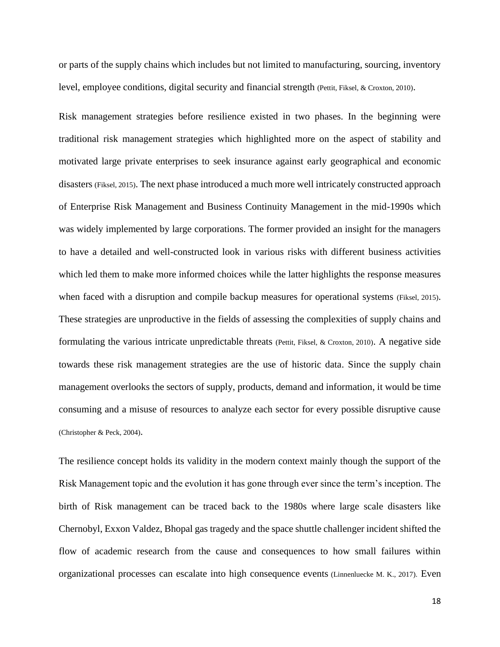or parts of the supply chains which includes but not limited to manufacturing, sourcing, inventory level, employee conditions, digital security and financial strength (Pettit, Fiksel, & Croxton, 2010).

Risk management strategies before resilience existed in two phases. In the beginning were traditional risk management strategies which highlighted more on the aspect of stability and motivated large private enterprises to seek insurance against early geographical and economic disasters (Fiksel, 2015). The next phase introduced a much more well intricately constructed approach of Enterprise Risk Management and Business Continuity Management in the mid-1990s which was widely implemented by large corporations. The former provided an insight for the managers to have a detailed and well-constructed look in various risks with different business activities which led them to make more informed choices while the latter highlights the response measures when faced with a disruption and compile backup measures for operational systems (Fiksel, 2015). These strategies are unproductive in the fields of assessing the complexities of supply chains and formulating the various intricate unpredictable threats (Pettit, Fiksel, & Croxton, 2010). A negative side towards these risk management strategies are the use of historic data. Since the supply chain management overlooks the sectors of supply, products, demand and information, it would be time consuming and a misuse of resources to analyze each sector for every possible disruptive cause (Christopher & Peck, 2004).

The resilience concept holds its validity in the modern context mainly though the support of the Risk Management topic and the evolution it has gone through ever since the term's inception. The birth of Risk management can be traced back to the 1980s where large scale disasters like Chernobyl, Exxon Valdez, Bhopal gas tragedy and the space shuttle challenger incident shifted the flow of academic research from the cause and consequences to how small failures within organizational processes can escalate into high consequence events (Linnenluecke M. K., 2017). Even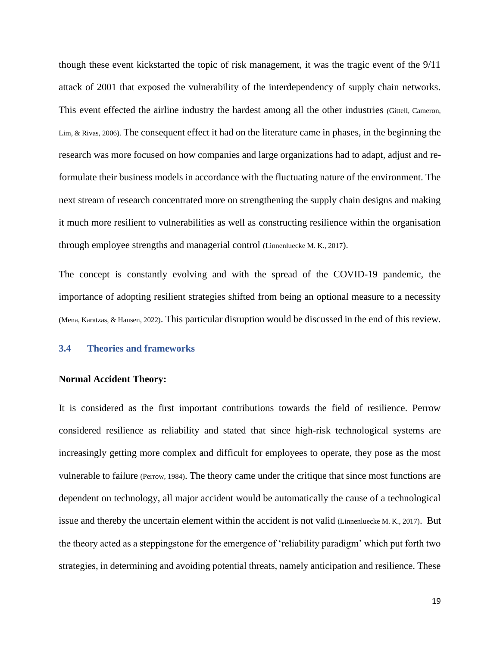though these event kickstarted the topic of risk management, it was the tragic event of the 9/11 attack of 2001 that exposed the vulnerability of the interdependency of supply chain networks. This event effected the airline industry the hardest among all the other industries (Gittell, Cameron, Lim, & Rivas, 2006). The consequent effect it had on the literature came in phases, in the beginning the research was more focused on how companies and large organizations had to adapt, adjust and reformulate their business models in accordance with the fluctuating nature of the environment. The next stream of research concentrated more on strengthening the supply chain designs and making it much more resilient to vulnerabilities as well as constructing resilience within the organisation through employee strengths and managerial control (Linnenluecke M. K., 2017).

The concept is constantly evolving and with the spread of the COVID-19 pandemic, the importance of adopting resilient strategies shifted from being an optional measure to a necessity (Mena, Karatzas, & Hansen, 2022). This particular disruption would be discussed in the end of this review.

### <span id="page-18-0"></span>**3.4 Theories and frameworks**

#### **Normal Accident Theory:**

It is considered as the first important contributions towards the field of resilience. Perrow considered resilience as reliability and stated that since high-risk technological systems are increasingly getting more complex and difficult for employees to operate, they pose as the most vulnerable to failure (Perrow, 1984). The theory came under the critique that since most functions are dependent on technology, all major accident would be automatically the cause of a technological issue and thereby the uncertain element within the accident is not valid (Linnenluecke M. K., 2017). But the theory acted as a steppingstone for the emergence of 'reliability paradigm' which put forth two strategies, in determining and avoiding potential threats, namely anticipation and resilience. These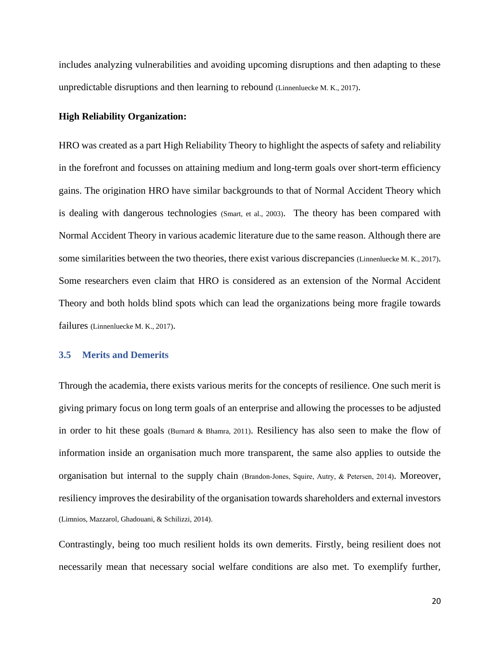includes analyzing vulnerabilities and avoiding upcoming disruptions and then adapting to these unpredictable disruptions and then learning to rebound (Linnenluecke M. K., 2017).

#### **High Reliability Organization:**

HRO was created as a part High Reliability Theory to highlight the aspects of safety and reliability in the forefront and focusses on attaining medium and long-term goals over short-term efficiency gains. The origination HRO have similar backgrounds to that of Normal Accident Theory which is dealing with dangerous technologies (Smart, et al., 2003). The theory has been compared with Normal Accident Theory in various academic literature due to the same reason. Although there are some similarities between the two theories, there exist various discrepancies (Linnenluecke M. K., 2017). Some researchers even claim that HRO is considered as an extension of the Normal Accident Theory and both holds blind spots which can lead the organizations being more fragile towards failures (Linnenluecke M. K., 2017).

### <span id="page-19-0"></span>**3.5 Merits and Demerits**

Through the academia, there exists various merits for the concepts of resilience. One such merit is giving primary focus on long term goals of an enterprise and allowing the processes to be adjusted in order to hit these goals (Burnard & Bhamra, 2011). Resiliency has also seen to make the flow of information inside an organisation much more transparent, the same also applies to outside the organisation but internal to the supply chain (Brandon‐Jones, Squire, Autry, & Petersen, 2014). Moreover, resiliency improves the desirability of the organisation towards shareholders and external investors (Limnios, Mazzarol, Ghadouani, & Schilizzi, 2014).

Contrastingly, being too much resilient holds its own demerits. Firstly, being resilient does not necessarily mean that necessary social welfare conditions are also met. To exemplify further,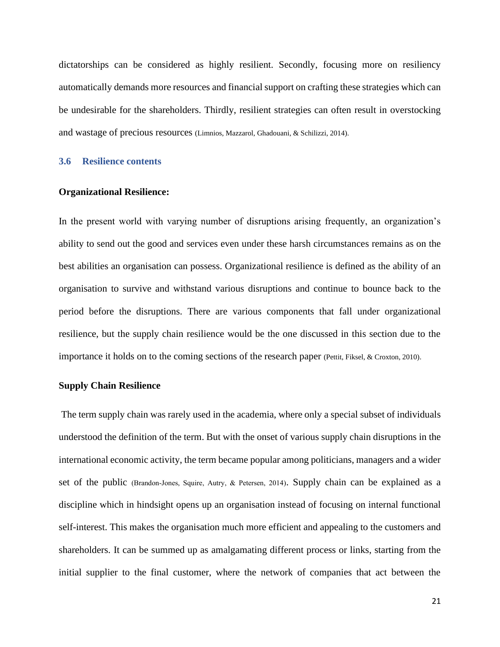dictatorships can be considered as highly resilient. Secondly, focusing more on resiliency automatically demands more resources and financial support on crafting these strategies which can be undesirable for the shareholders. Thirdly, resilient strategies can often result in overstocking and wastage of precious resources (Limnios, Mazzarol, Ghadouani, & Schilizzi, 2014).

### <span id="page-20-0"></span>**3.6 Resilience contents**

#### **Organizational Resilience:**

In the present world with varying number of disruptions arising frequently, an organization's ability to send out the good and services even under these harsh circumstances remains as on the best abilities an organisation can possess. Organizational resilience is defined as the ability of an organisation to survive and withstand various disruptions and continue to bounce back to the period before the disruptions. There are various components that fall under organizational resilience, but the supply chain resilience would be the one discussed in this section due to the importance it holds on to the coming sections of the research paper (Pettit, Fiksel, & Croxton, 2010).

#### **Supply Chain Resilience**

The term supply chain was rarely used in the academia, where only a special subset of individuals understood the definition of the term. But with the onset of various supply chain disruptions in the international economic activity, the term became popular among politicians, managers and a wider set of the public (Brandon-Jones, Squire, Autry, & Petersen, 2014). Supply chain can be explained as a discipline which in hindsight opens up an organisation instead of focusing on internal functional self-interest. This makes the organisation much more efficient and appealing to the customers and shareholders. It can be summed up as amalgamating different process or links, starting from the initial supplier to the final customer, where the network of companies that act between the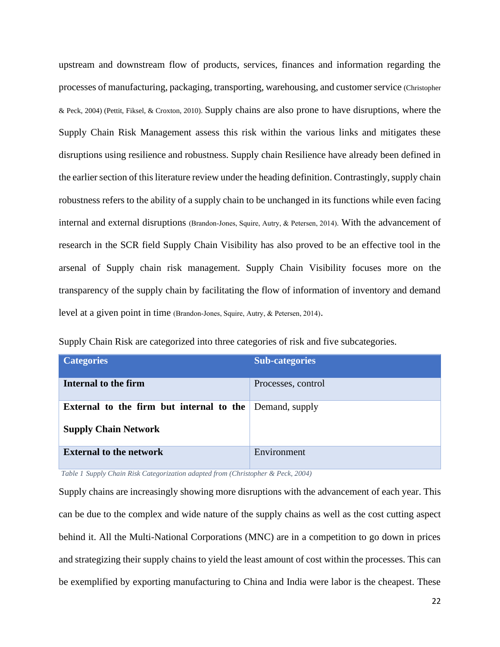upstream and downstream flow of products, services, finances and information regarding the processes of manufacturing, packaging, transporting, warehousing, and customer service (Christopher & Peck, 2004) (Pettit, Fiksel, & Croxton, 2010). Supply chains are also prone to have disruptions, where the Supply Chain Risk Management assess this risk within the various links and mitigates these disruptions using resilience and robustness. Supply chain Resilience have already been defined in the earlier section of this literature review under the heading definition. Contrastingly, supply chain robustness refers to the ability of a supply chain to be unchanged in its functions while even facing internal and external disruptions (Brandon‐Jones, Squire, Autry, & Petersen, 2014). With the advancement of research in the SCR field Supply Chain Visibility has also proved to be an effective tool in the arsenal of Supply chain risk management. Supply Chain Visibility focuses more on the transparency of the supply chain by facilitating the flow of information of inventory and demand level at a given point in time (Brandon‐Jones, Squire, Autry, & Petersen, 2014).

| <b>Categories</b>                        | <b>Sub-categories</b> |
|------------------------------------------|-----------------------|
| Internal to the firm                     | Processes, control    |
| External to the firm but internal to the | Demand, supply        |
| <b>Supply Chain Network</b>              |                       |
| <b>External to the network</b>           | Environment           |

Supply Chain Risk are categorized into three categories of risk and five subcategories.

<span id="page-21-0"></span>*Table 1 Supply Chain Risk Categorization adapted from (Christopher & Peck, 2004)*

Supply chains are increasingly showing more disruptions with the advancement of each year. This can be due to the complex and wide nature of the supply chains as well as the cost cutting aspect behind it. All the Multi-National Corporations (MNC) are in a competition to go down in prices and strategizing their supply chains to yield the least amount of cost within the processes. This can be exemplified by exporting manufacturing to China and India were labor is the cheapest. These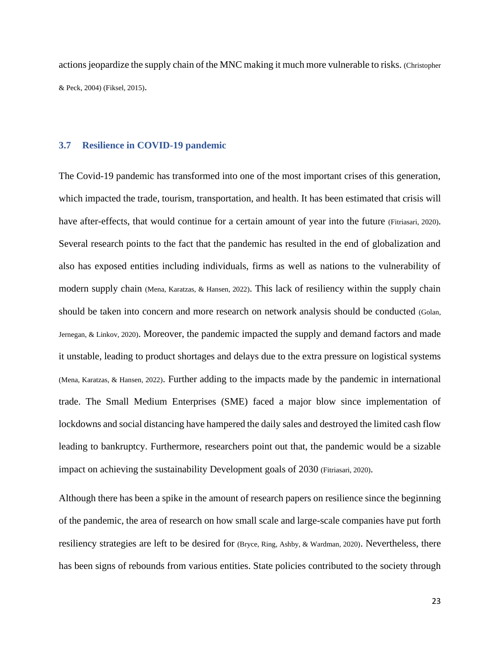actions jeopardize the supply chain of the MNC making it much more vulnerable to risks. (Christopher & Peck, 2004) (Fiksel, 2015).

#### <span id="page-22-0"></span>**3.7 Resilience in COVID-19 pandemic**

The Covid-19 pandemic has transformed into one of the most important crises of this generation, which impacted the trade, tourism, transportation, and health. It has been estimated that crisis will have after-effects, that would continue for a certain amount of year into the future (Fitriasari, 2020). Several research points to the fact that the pandemic has resulted in the end of globalization and also has exposed entities including individuals, firms as well as nations to the vulnerability of modern supply chain (Mena, Karatzas, & Hansen, 2022). This lack of resiliency within the supply chain should be taken into concern and more research on network analysis should be conducted (Golan, Jernegan, & Linkov, 2020). Moreover, the pandemic impacted the supply and demand factors and made it unstable, leading to product shortages and delays due to the extra pressure on logistical systems (Mena, Karatzas, & Hansen, 2022). Further adding to the impacts made by the pandemic in international trade. The Small Medium Enterprises (SME) faced a major blow since implementation of lockdowns and social distancing have hampered the daily sales and destroyed the limited cash flow leading to bankruptcy. Furthermore, researchers point out that, the pandemic would be a sizable impact on achieving the sustainability Development goals of 2030 (Fitriasari, 2020).

Although there has been a spike in the amount of research papers on resilience since the beginning of the pandemic, the area of research on how small scale and large-scale companies have put forth resiliency strategies are left to be desired for (Bryce, Ring, Ashby, & Wardman, 2020). Nevertheless, there has been signs of rebounds from various entities. State policies contributed to the society through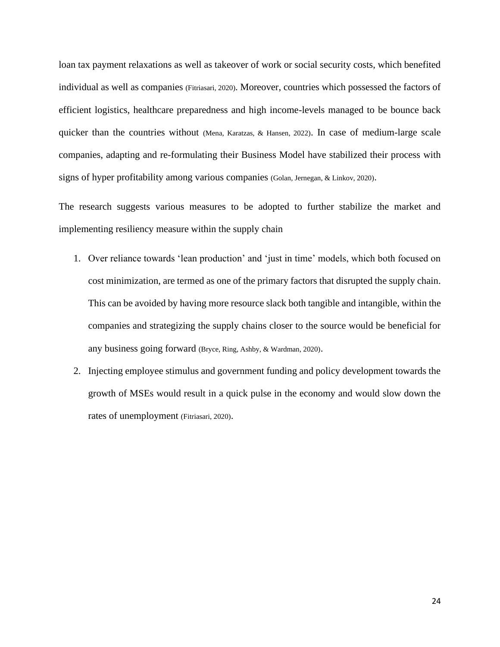loan tax payment relaxations as well as takeover of work or social security costs, which benefited individual as well as companies (Fitriasari, 2020). Moreover, countries which possessed the factors of efficient logistics, healthcare preparedness and high income-levels managed to be bounce back quicker than the countries without (Mena, Karatzas, & Hansen, 2022). In case of medium-large scale companies, adapting and re-formulating their Business Model have stabilized their process with signs of hyper profitability among various companies (Golan, Jernegan, & Linkov, 2020).

The research suggests various measures to be adopted to further stabilize the market and implementing resiliency measure within the supply chain

- 1. Over reliance towards 'lean production' and 'just in time' models, which both focused on cost minimization, are termed as one of the primary factors that disrupted the supply chain. This can be avoided by having more resource slack both tangible and intangible, within the companies and strategizing the supply chains closer to the source would be beneficial for any business going forward (Bryce, Ring, Ashby, & Wardman, 2020).
- 2. Injecting employee stimulus and government funding and policy development towards the growth of MSEs would result in a quick pulse in the economy and would slow down the rates of unemployment (Fitriasari, 2020).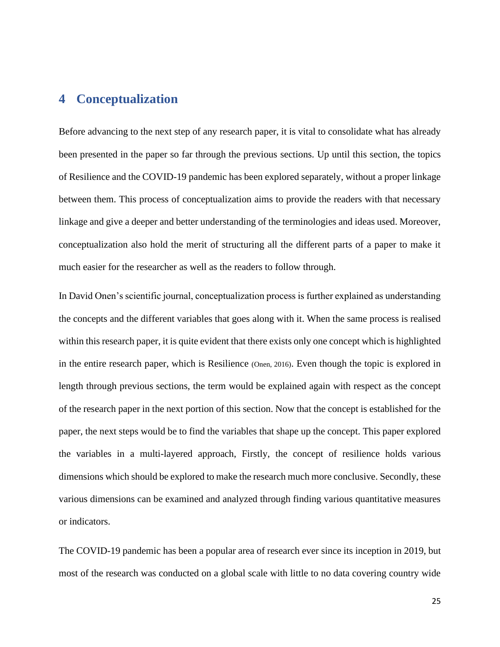# <span id="page-24-0"></span>**4 Conceptualization**

Before advancing to the next step of any research paper, it is vital to consolidate what has already been presented in the paper so far through the previous sections. Up until this section, the topics of Resilience and the COVID-19 pandemic has been explored separately, without a proper linkage between them. This process of conceptualization aims to provide the readers with that necessary linkage and give a deeper and better understanding of the terminologies and ideas used. Moreover, conceptualization also hold the merit of structuring all the different parts of a paper to make it much easier for the researcher as well as the readers to follow through.

In David Onen's scientific journal, conceptualization process is further explained as understanding the concepts and the different variables that goes along with it. When the same process is realised within this research paper, it is quite evident that there exists only one concept which is highlighted in the entire research paper, which is Resilience (Onen, 2016). Even though the topic is explored in length through previous sections, the term would be explained again with respect as the concept of the research paper in the next portion of this section. Now that the concept is established for the paper, the next steps would be to find the variables that shape up the concept. This paper explored the variables in a multi-layered approach, Firstly, the concept of resilience holds various dimensions which should be explored to make the research much more conclusive. Secondly, these various dimensions can be examined and analyzed through finding various quantitative measures or indicators.

The COVID-19 pandemic has been a popular area of research ever since its inception in 2019, but most of the research was conducted on a global scale with little to no data covering country wide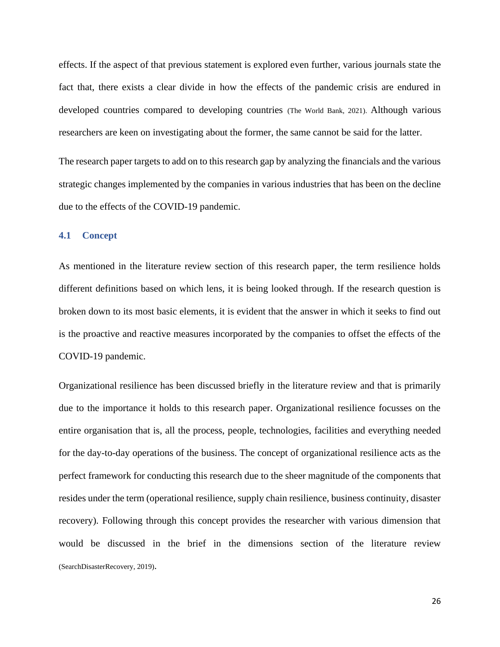effects. If the aspect of that previous statement is explored even further, various journals state the fact that, there exists a clear divide in how the effects of the pandemic crisis are endured in developed countries compared to developing countries (The World Bank, 2021). Although various researchers are keen on investigating about the former, the same cannot be said for the latter.

The research paper targets to add on to this research gap by analyzing the financials and the various strategic changes implemented by the companies in various industries that has been on the decline due to the effects of the COVID-19 pandemic.

### <span id="page-25-0"></span>**4.1 Concept**

As mentioned in the literature review section of this research paper, the term resilience holds different definitions based on which lens, it is being looked through. If the research question is broken down to its most basic elements, it is evident that the answer in which it seeks to find out is the proactive and reactive measures incorporated by the companies to offset the effects of the COVID-19 pandemic.

Organizational resilience has been discussed briefly in the literature review and that is primarily due to the importance it holds to this research paper. Organizational resilience focusses on the entire organisation that is, all the process, people, technologies, facilities and everything needed for the day-to-day operations of the business. The concept of organizational resilience acts as the perfect framework for conducting this research due to the sheer magnitude of the components that resides under the term (operational resilience, supply chain resilience, business continuity, disaster recovery). Following through this concept provides the researcher with various dimension that would be discussed in the brief in the dimensions section of the literature review (SearchDisasterRecovery, 2019).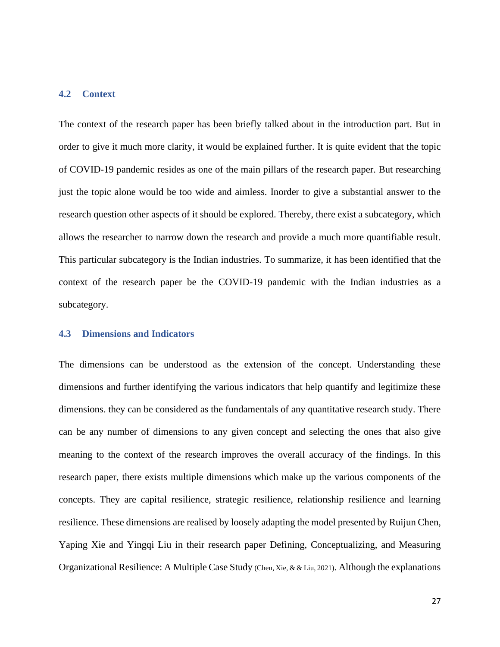#### <span id="page-26-0"></span>**4.2 Context**

The context of the research paper has been briefly talked about in the introduction part. But in order to give it much more clarity, it would be explained further. It is quite evident that the topic of COVID-19 pandemic resides as one of the main pillars of the research paper. But researching just the topic alone would be too wide and aimless. Inorder to give a substantial answer to the research question other aspects of it should be explored. Thereby, there exist a subcategory, which allows the researcher to narrow down the research and provide a much more quantifiable result. This particular subcategory is the Indian industries. To summarize, it has been identified that the context of the research paper be the COVID-19 pandemic with the Indian industries as a subcategory.

#### <span id="page-26-1"></span>**4.3 Dimensions and Indicators**

The dimensions can be understood as the extension of the concept. Understanding these dimensions and further identifying the various indicators that help quantify and legitimize these dimensions. they can be considered as the fundamentals of any quantitative research study. There can be any number of dimensions to any given concept and selecting the ones that also give meaning to the context of the research improves the overall accuracy of the findings. In this research paper, there exists multiple dimensions which make up the various components of the concepts. They are capital resilience, strategic resilience, relationship resilience and learning resilience. These dimensions are realised by loosely adapting the model presented by Ruijun Chen, Yaping Xie and Yingqi Liu in their research paper Defining, Conceptualizing, and Measuring Organizational Resilience: A Multiple Case Study (Chen, Xie, & & Liu, 2021). Although the explanations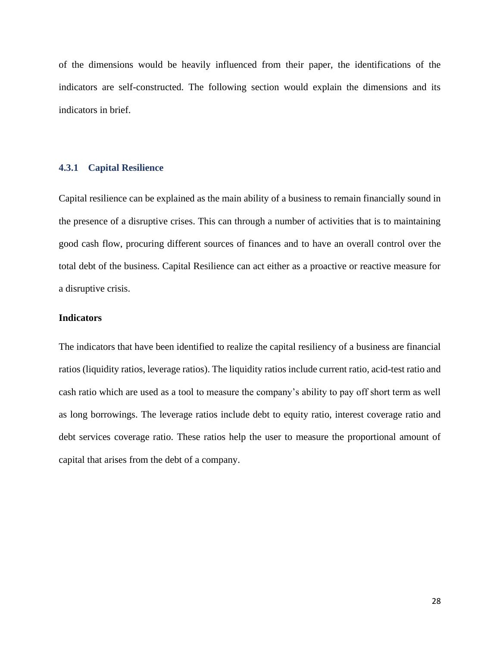of the dimensions would be heavily influenced from their paper, the identifications of the indicators are self-constructed. The following section would explain the dimensions and its indicators in brief.

### <span id="page-27-0"></span>**4.3.1 Capital Resilience**

Capital resilience can be explained as the main ability of a business to remain financially sound in the presence of a disruptive crises. This can through a number of activities that is to maintaining good cash flow, procuring different sources of finances and to have an overall control over the total debt of the business. Capital Resilience can act either as a proactive or reactive measure for a disruptive crisis.

#### **Indicators**

The indicators that have been identified to realize the capital resiliency of a business are financial ratios (liquidity ratios, leverage ratios). The liquidity ratios include current ratio, acid-test ratio and cash ratio which are used as a tool to measure the company's ability to pay off short term as well as long borrowings. The leverage ratios include debt to equity ratio, interest coverage ratio and debt services coverage ratio. These ratios help the user to measure the proportional amount of capital that arises from the debt of a company.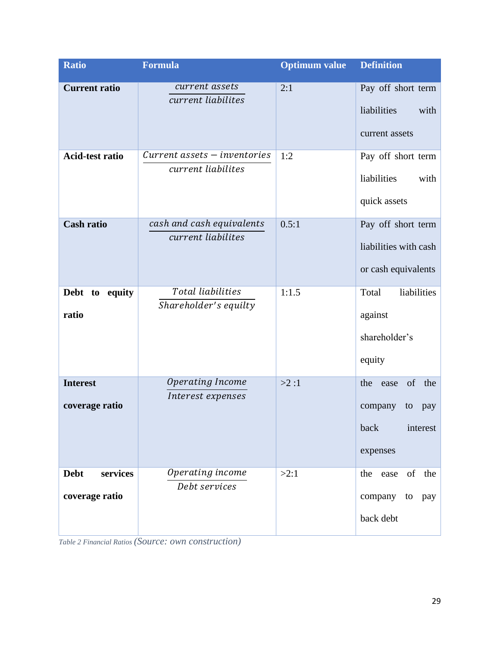| <b>Ratio</b>                              | <b>Formula</b>                                         | <b>Optimum value</b> | <b>Definition</b>                                                                |
|-------------------------------------------|--------------------------------------------------------|----------------------|----------------------------------------------------------------------------------|
| <b>Current ratio</b>                      | current assets<br>current liabilites                   | 2:1                  | Pay off short term<br>liabilities<br>with<br>current assets                      |
| <b>Acid-test ratio</b>                    | $Current$ assets $-$ inventories<br>current liabilites | 1:2                  | Pay off short term<br>liabilities<br>with<br>quick assets                        |
| <b>Cash ratio</b>                         | cash and cash equivalents<br>current liabilites        | 0.5:1                | Pay off short term<br>liabilities with cash<br>or cash equivalents               |
| Debt to<br>equity<br>ratio                | Total liabilities<br>Shareholder's equilty             | 1:1.5                | liabilities<br>Total<br>against<br>shareholder's<br>equity                       |
| <b>Interest</b><br>coverage ratio         | Operating Income<br>Interest expenses                  | >2:1                 | of<br>the<br>the<br>ease<br>company<br>to<br>pay<br>back<br>interest<br>expenses |
| <b>Debt</b><br>services<br>coverage ratio | Operating income<br>Debt services                      | >2:1                 | of<br>the<br>the ease<br>company<br>to<br>pay<br>back debt                       |

<span id="page-28-0"></span>*Table 2 Financial Ratios (Source: own construction)*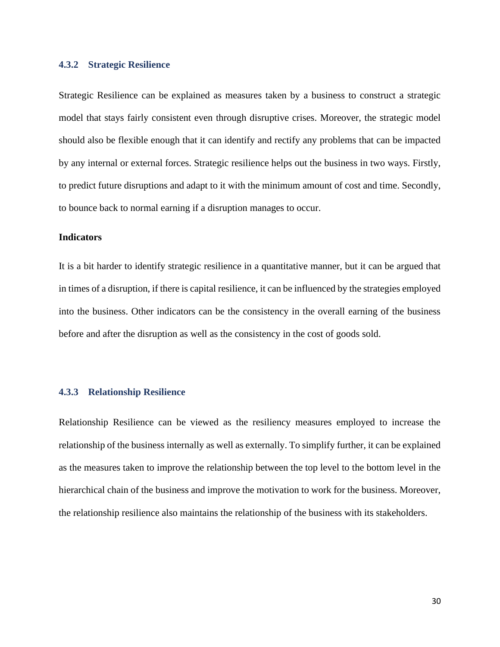#### <span id="page-29-0"></span>**4.3.2 Strategic Resilience**

Strategic Resilience can be explained as measures taken by a business to construct a strategic model that stays fairly consistent even through disruptive crises. Moreover, the strategic model should also be flexible enough that it can identify and rectify any problems that can be impacted by any internal or external forces. Strategic resilience helps out the business in two ways. Firstly, to predict future disruptions and adapt to it with the minimum amount of cost and time. Secondly, to bounce back to normal earning if a disruption manages to occur.

#### **Indicators**

It is a bit harder to identify strategic resilience in a quantitative manner, but it can be argued that in times of a disruption, if there is capital resilience, it can be influenced by the strategies employed into the business. Other indicators can be the consistency in the overall earning of the business before and after the disruption as well as the consistency in the cost of goods sold.

#### <span id="page-29-1"></span>**4.3.3 Relationship Resilience**

Relationship Resilience can be viewed as the resiliency measures employed to increase the relationship of the business internally as well as externally. To simplify further, it can be explained as the measures taken to improve the relationship between the top level to the bottom level in the hierarchical chain of the business and improve the motivation to work for the business. Moreover, the relationship resilience also maintains the relationship of the business with its stakeholders.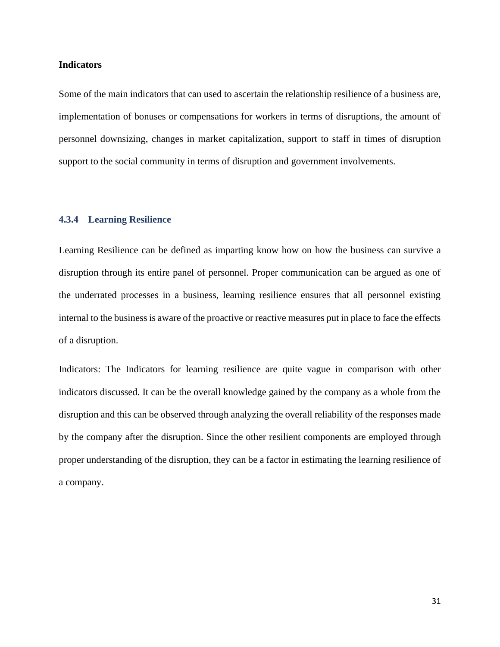#### **Indicators**

Some of the main indicators that can used to ascertain the relationship resilience of a business are, implementation of bonuses or compensations for workers in terms of disruptions, the amount of personnel downsizing, changes in market capitalization, support to staff in times of disruption support to the social community in terms of disruption and government involvements.

#### <span id="page-30-0"></span>**4.3.4 Learning Resilience**

Learning Resilience can be defined as imparting know how on how the business can survive a disruption through its entire panel of personnel. Proper communication can be argued as one of the underrated processes in a business, learning resilience ensures that all personnel existing internal to the business is aware of the proactive or reactive measures put in place to face the effects of a disruption.

Indicators: The Indicators for learning resilience are quite vague in comparison with other indicators discussed. It can be the overall knowledge gained by the company as a whole from the disruption and this can be observed through analyzing the overall reliability of the responses made by the company after the disruption. Since the other resilient components are employed through proper understanding of the disruption, they can be a factor in estimating the learning resilience of a company.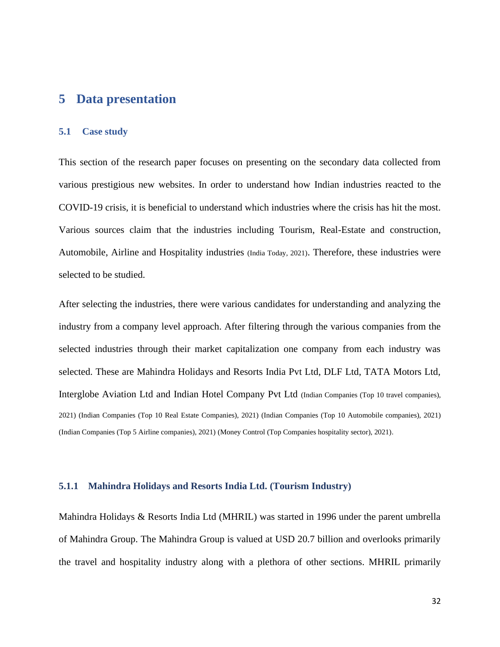## <span id="page-31-0"></span>**5 Data presentation**

### <span id="page-31-1"></span>**5.1 Case study**

This section of the research paper focuses on presenting on the secondary data collected from various prestigious new websites. In order to understand how Indian industries reacted to the COVID-19 crisis, it is beneficial to understand which industries where the crisis has hit the most. Various sources claim that the industries including Tourism, Real-Estate and construction, Automobile, Airline and Hospitality industries (India Today, 2021). Therefore, these industries were selected to be studied.

After selecting the industries, there were various candidates for understanding and analyzing the industry from a company level approach. After filtering through the various companies from the selected industries through their market capitalization one company from each industry was selected. These are Mahindra Holidays and Resorts India Pvt Ltd, DLF Ltd, TATA Motors Ltd, Interglobe Aviation Ltd and Indian Hotel Company Pvt Ltd (Indian Companies (Top 10 travel companies), 2021) (Indian Companies (Top 10 Real Estate Companies), 2021) (Indian Companies (Top 10 Automobile companies), 2021) (Indian Companies (Top 5 Airline companies), 2021) (Money Control (Top Companies hospitality sector), 2021).

#### <span id="page-31-2"></span>**5.1.1 Mahindra Holidays and Resorts India Ltd. (Tourism Industry)**

Mahindra Holidays & Resorts India Ltd (MHRIL) was started in 1996 under the parent umbrella of Mahindra Group. The Mahindra Group is valued at USD 20.7 billion and overlooks primarily the travel and hospitality industry along with a plethora of other sections. MHRIL primarily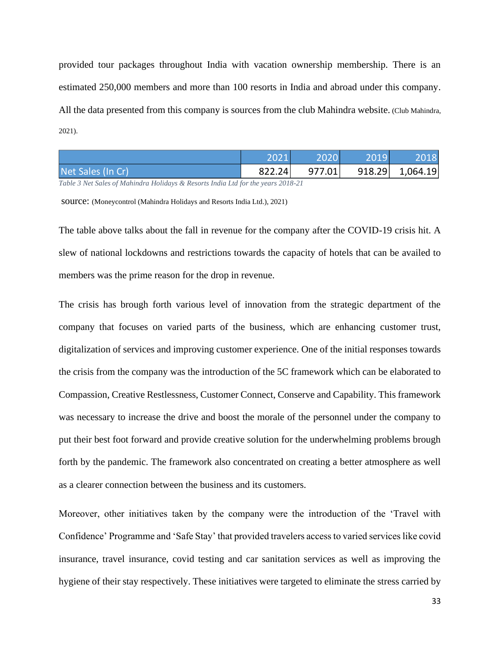provided tour packages throughout India with vacation ownership membership. There is an estimated 250,000 members and more than 100 resorts in India and abroad under this company. All the data presented from this company is sources from the club Mahindra website. (Club Mahindra, 2021).

<span id="page-32-0"></span>

|                   | 2021   | 2020   | 20191 | 2018            |
|-------------------|--------|--------|-------|-----------------|
| Net Sales (In Cr) | 822.24 | 977.01 |       | 918.29 1,064.19 |

*Table 3 Net Sales of Mahindra Holidays & Resorts India Ltd for the years 2018-21*

source: (Moneycontrol (Mahindra Holidays and Resorts India Ltd.), 2021)

The table above talks about the fall in revenue for the company after the COVID-19 crisis hit. A slew of national lockdowns and restrictions towards the capacity of hotels that can be availed to members was the prime reason for the drop in revenue.

The crisis has brough forth various level of innovation from the strategic department of the company that focuses on varied parts of the business, which are enhancing customer trust, digitalization of services and improving customer experience. One of the initial responses towards the crisis from the company was the introduction of the 5C framework which can be elaborated to Compassion, Creative Restlessness, Customer Connect, Conserve and Capability. This framework was necessary to increase the drive and boost the morale of the personnel under the company to put their best foot forward and provide creative solution for the underwhelming problems brough forth by the pandemic. The framework also concentrated on creating a better atmosphere as well as a clearer connection between the business and its customers.

Moreover, other initiatives taken by the company were the introduction of the 'Travel with Confidence' Programme and 'Safe Stay' that provided travelers access to varied services like covid insurance, travel insurance, covid testing and car sanitation services as well as improving the hygiene of their stay respectively. These initiatives were targeted to eliminate the stress carried by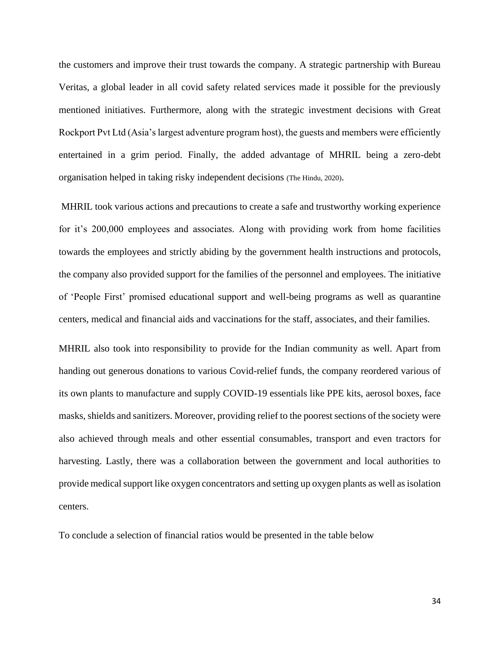the customers and improve their trust towards the company. A strategic partnership with Bureau Veritas, a global leader in all covid safety related services made it possible for the previously mentioned initiatives. Furthermore, along with the strategic investment decisions with Great Rockport Pvt Ltd (Asia's largest adventure program host), the guests and members were efficiently entertained in a grim period. Finally, the added advantage of MHRIL being a zero-debt organisation helped in taking risky independent decisions (The Hindu, 2020).

MHRIL took various actions and precautions to create a safe and trustworthy working experience for it's 200,000 employees and associates. Along with providing work from home facilities towards the employees and strictly abiding by the government health instructions and protocols, the company also provided support for the families of the personnel and employees. The initiative of 'People First' promised educational support and well-being programs as well as quarantine centers, medical and financial aids and vaccinations for the staff, associates, and their families.

MHRIL also took into responsibility to provide for the Indian community as well. Apart from handing out generous donations to various Covid-relief funds, the company reordered various of its own plants to manufacture and supply COVID-19 essentials like PPE kits, aerosol boxes, face masks, shields and sanitizers. Moreover, providing relief to the poorest sections of the society were also achieved through meals and other essential consumables, transport and even tractors for harvesting. Lastly, there was a collaboration between the government and local authorities to provide medical support like oxygen concentrators and setting up oxygen plants as well as isolation centers.

To conclude a selection of financial ratios would be presented in the table below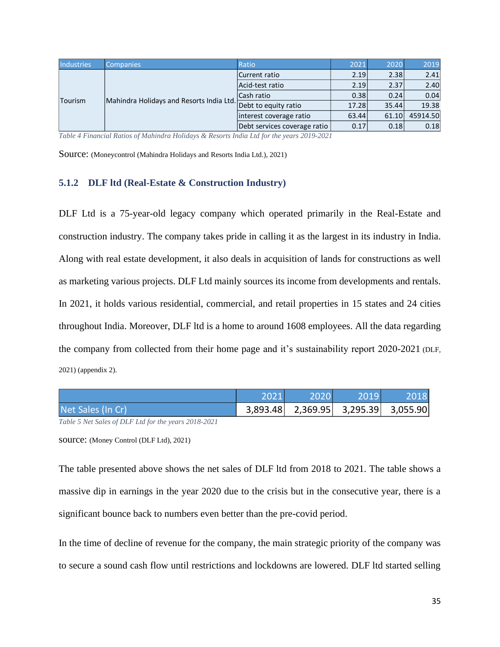<span id="page-34-1"></span>

| <b>Industries</b> | <b>Companies</b>                         | Ratio                        | 2021  | 2020  | 2019     |
|-------------------|------------------------------------------|------------------------------|-------|-------|----------|
| Tourism           |                                          | Current ratio                | 2.19  | 2.38  | 2.41     |
|                   |                                          | Acid-test ratio              | 2.19  | 2.37  | 2.40     |
|                   | Mahindra Holidays and Resorts India Ltd. | Cash ratio                   | 0.38  | 0.24  | 0.04     |
|                   |                                          | Debt to equity ratio         | 17.28 | 35.44 | 19.38    |
|                   |                                          | interest coverage ratio      | 63.44 | 61.10 | 45914.50 |
|                   |                                          | Debt services coverage ratio | 0.17  | 0.18  | 0.18     |

*Table 4 Financial Ratios of Mahindra Holidays & Resorts India Ltd for the years 2019-2021*

Source: (Moneycontrol (Mahindra Holidays and Resorts India Ltd.), 2021)

#### <span id="page-34-0"></span>**5.1.2 DLF ltd (Real-Estate & Construction Industry)**

DLF Ltd is a 75-year-old legacy company which operated primarily in the Real-Estate and construction industry. The company takes pride in calling it as the largest in its industry in India. Along with real estate development, it also deals in acquisition of lands for constructions as well as marketing various projects. DLF Ltd mainly sources its income from developments and rentals. In 2021, it holds various residential, commercial, and retail properties in 15 states and 24 cities throughout India. Moreover, DLF ltd is a home to around 1608 employees. All the data regarding the company from collected from their home page and it's sustainability report 2020-2021 (DLF, 2021) (appendix 2).

<span id="page-34-2"></span>

|                   | 2021 | $-2020$ | $-2019$                             | 2018 |
|-------------------|------|---------|-------------------------------------|------|
| Net Sales (In Cr) |      |         | 3,893.48 2,369.95 3,295.39 3,055.90 |      |

*Table 5 Net Sales of DLF Ltd for the years 2018-2021*

source: (Money Control (DLF Ltd), 2021)

The table presented above shows the net sales of DLF ltd from 2018 to 2021. The table shows a massive dip in earnings in the year 2020 due to the crisis but in the consecutive year, there is a significant bounce back to numbers even better than the pre-covid period.

In the time of decline of revenue for the company, the main strategic priority of the company was to secure a sound cash flow until restrictions and lockdowns are lowered. DLF ltd started selling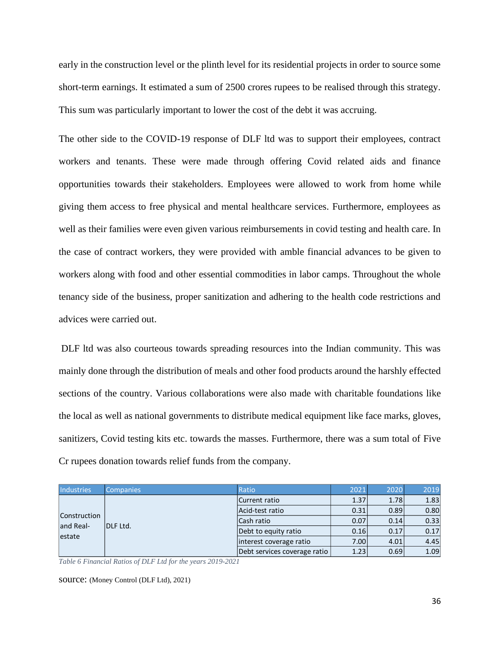early in the construction level or the plinth level for its residential projects in order to source some short-term earnings. It estimated a sum of 2500 crores rupees to be realised through this strategy. This sum was particularly important to lower the cost of the debt it was accruing.

The other side to the COVID-19 response of DLF ltd was to support their employees, contract workers and tenants. These were made through offering Covid related aids and finance opportunities towards their stakeholders. Employees were allowed to work from home while giving them access to free physical and mental healthcare services. Furthermore, employees as well as their families were even given various reimbursements in covid testing and health care. In the case of contract workers, they were provided with amble financial advances to be given to workers along with food and other essential commodities in labor camps. Throughout the whole tenancy side of the business, proper sanitization and adhering to the health code restrictions and advices were carried out.

DLF ltd was also courteous towards spreading resources into the Indian community. This was mainly done through the distribution of meals and other food products around the harshly effected sections of the country. Various collaborations were also made with charitable foundations like the local as well as national governments to distribute medical equipment like face marks, gloves, sanitizers, Covid testing kits etc. towards the masses. Furthermore, there was a sum total of Five Cr rupees donation towards relief funds from the company.

<span id="page-35-0"></span>

| <b>Industries</b>                          | <b>Companies</b> | Ratio                        | 2021 | 2020 | 2019 |
|--------------------------------------------|------------------|------------------------------|------|------|------|
| <b>Construction</b><br>and Real-<br>estate |                  | Current ratio                | 1.37 | 1.78 | 1.83 |
|                                            | DLF Ltd.         | Acid-test ratio              | 0.31 | 0.89 | 0.80 |
|                                            |                  | Cash ratio                   | 0.07 | 0.14 | 0.33 |
|                                            |                  | Debt to equity ratio         | 0.16 | 0.17 | 0.17 |
|                                            |                  | interest coverage ratio      | 7.00 | 4.01 | 4.45 |
|                                            |                  | Debt services coverage ratio | 1.23 | 0.69 | 1.09 |

*Table 6 Financial Ratios of DLF Ltd for the years 2019-2021*

source: (Money Control (DLF Ltd), 2021)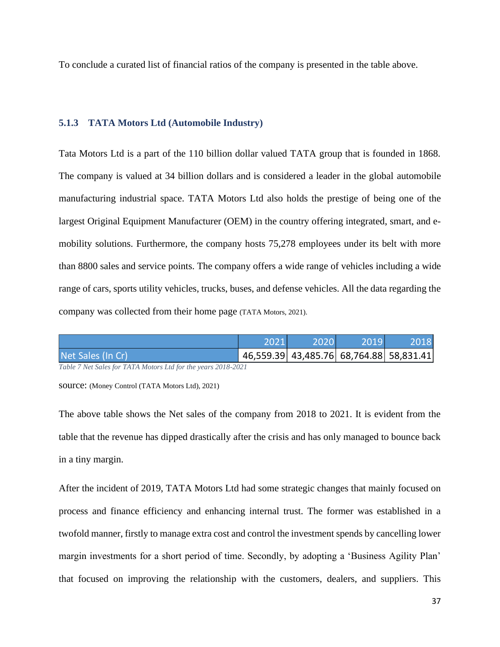To conclude a curated list of financial ratios of the company is presented in the table above.

### <span id="page-36-0"></span>**5.1.3 TATA Motors Ltd (Automobile Industry)**

Tata Motors Ltd is a part of the 110 billion dollar valued TATA group that is founded in 1868. The company is valued at 34 billion dollars and is considered a leader in the global automobile manufacturing industrial space. TATA Motors Ltd also holds the prestige of being one of the largest Original Equipment Manufacturer (OEM) in the country offering integrated, smart, and emobility solutions. Furthermore, the company hosts 75,278 employees under its belt with more than 8800 sales and service points. The company offers a wide range of vehicles including a wide range of cars, sports utility vehicles, trucks, buses, and defense vehicles. All the data regarding the company was collected from their home page (TATA Motors, 2021).

<span id="page-36-1"></span>

|                   | 2021 | 2020                                    | 2019. | 2018 |
|-------------------|------|-----------------------------------------|-------|------|
| Net Sales (In Cr) |      | 46,559.39 43,485.76 68,764.88 58,831.41 |       |      |

*Table 7 Net Sales for TATA Motors Ltd for the years 2018-2021*

source: (Money Control (TATA Motors Ltd), 2021)

The above table shows the Net sales of the company from 2018 to 2021. It is evident from the table that the revenue has dipped drastically after the crisis and has only managed to bounce back in a tiny margin.

After the incident of 2019, TATA Motors Ltd had some strategic changes that mainly focused on process and finance efficiency and enhancing internal trust. The former was established in a twofold manner, firstly to manage extra cost and control the investment spends by cancelling lower margin investments for a short period of time. Secondly, by adopting a 'Business Agility Plan' that focused on improving the relationship with the customers, dealers, and suppliers. This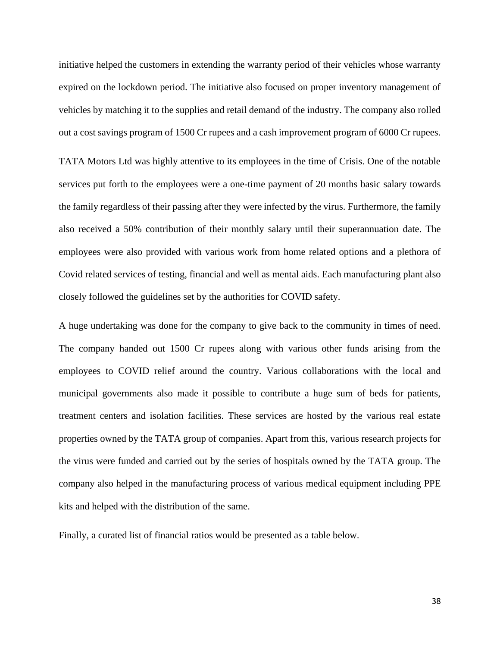initiative helped the customers in extending the warranty period of their vehicles whose warranty expired on the lockdown period. The initiative also focused on proper inventory management of vehicles by matching it to the supplies and retail demand of the industry. The company also rolled out a cost savings program of 1500 Cr rupees and a cash improvement program of 6000 Cr rupees.

TATA Motors Ltd was highly attentive to its employees in the time of Crisis. One of the notable services put forth to the employees were a one-time payment of 20 months basic salary towards the family regardless of their passing after they were infected by the virus. Furthermore, the family also received a 50% contribution of their monthly salary until their superannuation date. The employees were also provided with various work from home related options and a plethora of Covid related services of testing, financial and well as mental aids. Each manufacturing plant also closely followed the guidelines set by the authorities for COVID safety.

A huge undertaking was done for the company to give back to the community in times of need. The company handed out 1500 Cr rupees along with various other funds arising from the employees to COVID relief around the country. Various collaborations with the local and municipal governments also made it possible to contribute a huge sum of beds for patients, treatment centers and isolation facilities. These services are hosted by the various real estate properties owned by the TATA group of companies. Apart from this, various research projects for the virus were funded and carried out by the series of hospitals owned by the TATA group. The company also helped in the manufacturing process of various medical equipment including PPE kits and helped with the distribution of the same.

Finally, a curated list of financial ratios would be presented as a table below.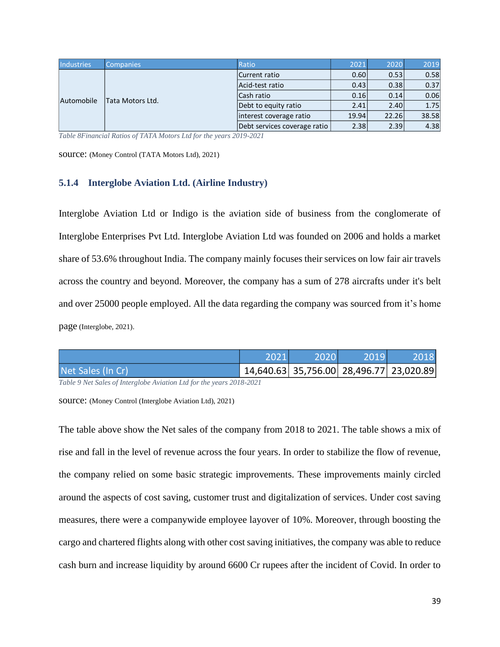<span id="page-38-1"></span>

| <b>Industries</b> | Companies        | Ratio                        | 2021  | 2020  | 2019  |
|-------------------|------------------|------------------------------|-------|-------|-------|
| Automobile        |                  | Current ratio                | 0.60  | 0.53  | 0.58  |
|                   |                  | Acid-test ratio              | 0.43  | 0.38  | 0.37  |
|                   | Tata Motors Ltd. | Cash ratio                   | 0.16  | 0.14  | 0.06  |
|                   |                  | Debt to equity ratio         | 2.41  | 2.40  | 1.75  |
|                   |                  | interest coverage ratio      | 19.94 | 22.26 | 38.58 |
|                   |                  | Debt services coverage ratio | 2.38  | 2.39  | 4.38  |

*Table 8Financial Ratios of TATA Motors Ltd for the years 2019-2021*

source: (Money Control (TATA Motors Ltd), 2021)

#### <span id="page-38-0"></span>**5.1.4 Interglobe Aviation Ltd. (Airline Industry)**

Interglobe Aviation Ltd or Indigo is the aviation side of business from the conglomerate of Interglobe Enterprises Pvt Ltd. Interglobe Aviation Ltd was founded on 2006 and holds a market share of 53.6% throughout India. The company mainly focuses their services on low fair air travels across the country and beyond. Moreover, the company has a sum of 278 aircrafts under it's belt and over 25000 people employed. All the data regarding the company was sourced from it's home page (Interglobe, 2021).

<span id="page-38-2"></span>

|                   | 2021 | 2020 \ | 2019                                    | 2018 |
|-------------------|------|--------|-----------------------------------------|------|
| Net Sales (In Cr) |      |        | 14,640.63 35,756.00 28,496.77 23,020.89 |      |

*Table 9 Net Sales of Interglobe Aviation Ltd for the years 2018-2021*

source: (Money Control (Interglobe Aviation Ltd), 2021)

The table above show the Net sales of the company from 2018 to 2021. The table shows a mix of rise and fall in the level of revenue across the four years. In order to stabilize the flow of revenue, the company relied on some basic strategic improvements. These improvements mainly circled around the aspects of cost saving, customer trust and digitalization of services. Under cost saving measures, there were a companywide employee layover of 10%. Moreover, through boosting the cargo and chartered flights along with other cost saving initiatives, the company was able to reduce cash burn and increase liquidity by around 6600 Cr rupees after the incident of Covid. In order to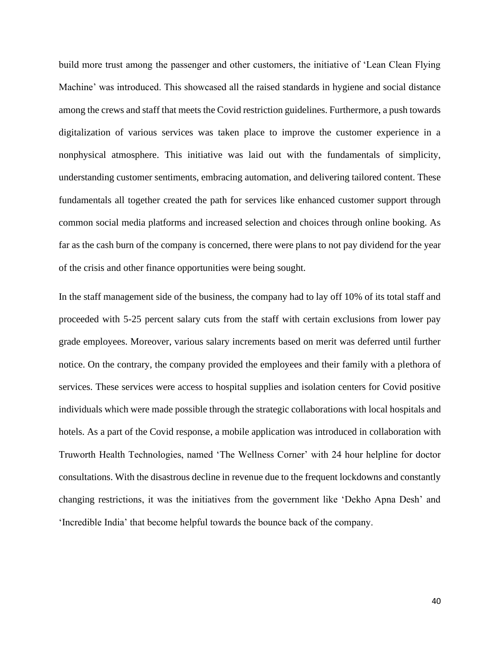build more trust among the passenger and other customers, the initiative of 'Lean Clean Flying Machine' was introduced. This showcased all the raised standards in hygiene and social distance among the crews and staff that meets the Covid restriction guidelines. Furthermore, a push towards digitalization of various services was taken place to improve the customer experience in a nonphysical atmosphere. This initiative was laid out with the fundamentals of simplicity, understanding customer sentiments, embracing automation, and delivering tailored content. These fundamentals all together created the path for services like enhanced customer support through common social media platforms and increased selection and choices through online booking. As far as the cash burn of the company is concerned, there were plans to not pay dividend for the year of the crisis and other finance opportunities were being sought.

In the staff management side of the business, the company had to lay off 10% of its total staff and proceeded with 5-25 percent salary cuts from the staff with certain exclusions from lower pay grade employees. Moreover, various salary increments based on merit was deferred until further notice. On the contrary, the company provided the employees and their family with a plethora of services. These services were access to hospital supplies and isolation centers for Covid positive individuals which were made possible through the strategic collaborations with local hospitals and hotels. As a part of the Covid response, a mobile application was introduced in collaboration with Truworth Health Technologies, named 'The Wellness Corner' with 24 hour helpline for doctor consultations. With the disastrous decline in revenue due to the frequent lockdowns and constantly changing restrictions, it was the initiatives from the government like 'Dekho Apna Desh' and 'Incredible India' that become helpful towards the bounce back of the company.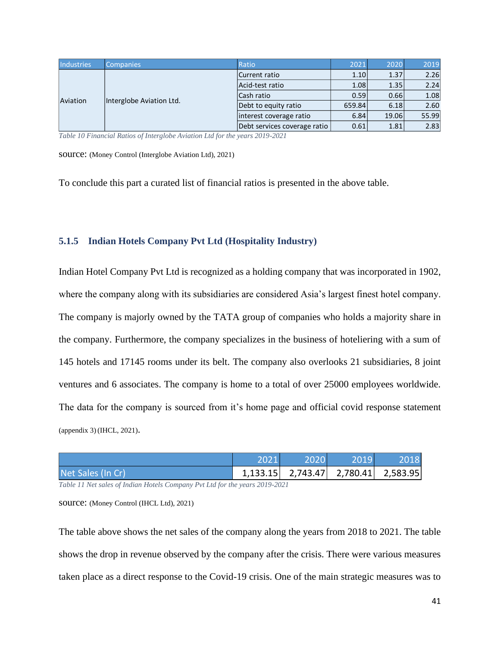<span id="page-40-1"></span>

| <b>Industries</b>                    | <b>Companies</b> | Ratio                        | 2021   | 2020  | 2019  |
|--------------------------------------|------------------|------------------------------|--------|-------|-------|
| Interglobe Aviation Ltd.<br>Aviation |                  | Current ratio                | 1.10   | 1.37  | 2.26  |
|                                      |                  | Acid-test ratio              | 1.08   | 1.35  | 2.24  |
|                                      |                  | Cash ratio                   | 0.59   | 0.66  | 1.08  |
|                                      |                  | Debt to equity ratio         | 659.84 | 6.18  | 2.60  |
|                                      |                  | interest coverage ratio      | 6.84   | 19.06 | 55.99 |
|                                      |                  | Debt services coverage ratio | 0.61   | 1.81  | 2.83  |

*Table 10 Financial Ratios of Interglobe Aviation Ltd for the years 2019-2021*

source: (Money Control (Interglobe Aviation Ltd), 2021)

To conclude this part a curated list of financial ratios is presented in the above table.

#### <span id="page-40-0"></span>**5.1.5 Indian Hotels Company Pvt Ltd (Hospitality Industry)**

Indian Hotel Company Pvt Ltd is recognized as a holding company that was incorporated in 1902, where the company along with its subsidiaries are considered Asia's largest finest hotel company. The company is majorly owned by the TATA group of companies who holds a majority share in the company. Furthermore, the company specializes in the business of hoteliering with a sum of 145 hotels and 17145 rooms under its belt. The company also overlooks 21 subsidiaries, 8 joint ventures and 6 associates. The company is home to a total of over 25000 employees worldwide. The data for the company is sourced from it's home page and official covid response statement (appendix 3) (IHCL, 2021).

<span id="page-40-2"></span>

|                   | 2021 | 2020 | 2019                                |  |
|-------------------|------|------|-------------------------------------|--|
| Net Sales (In Cr) |      |      | 1,133.15 2,743.47 2,780.41 2,583.95 |  |

*Table 11 Net sales of Indian Hotels Company Pvt Ltd for the years 2019-2021*

source: (Money Control (IHCL Ltd), 2021)

The table above shows the net sales of the company along the years from 2018 to 2021. The table shows the drop in revenue observed by the company after the crisis. There were various measures taken place as a direct response to the Covid-19 crisis. One of the main strategic measures was to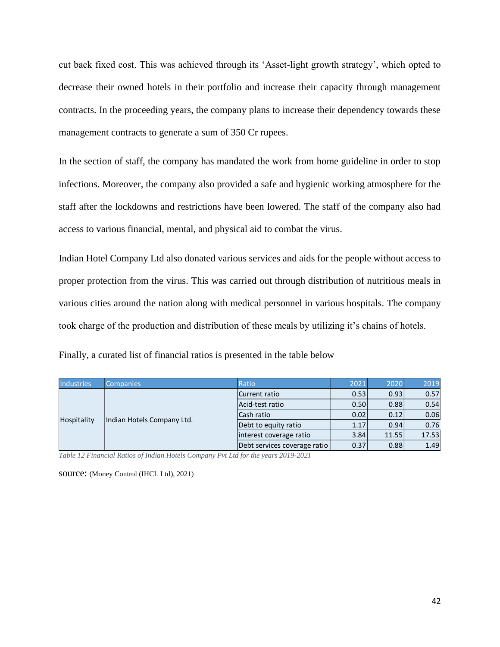cut back fixed cost. This was achieved through its 'Asset-light growth strategy', which opted to decrease their owned hotels in their portfolio and increase their capacity through management contracts. In the proceeding years, the company plans to increase their dependency towards these management contracts to generate a sum of 350 Cr rupees.

In the section of staff, the company has mandated the work from home guideline in order to stop infections. Moreover, the company also provided a safe and hygienic working atmosphere for the staff after the lockdowns and restrictions have been lowered. The staff of the company also had access to various financial, mental, and physical aid to combat the virus.

Indian Hotel Company Ltd also donated various services and aids for the people without access to proper protection from the virus. This was carried out through distribution of nutritious meals in various cities around the nation along with medical personnel in various hospitals. The company took charge of the production and distribution of these meals by utilizing it's chains of hotels.

Finally, a curated list of financial ratios is presented in the table below

<span id="page-41-0"></span>

| <b>Industries</b> | <b>Companies</b>           | Ratio                        | 2021 | 2020  | 2019  |
|-------------------|----------------------------|------------------------------|------|-------|-------|
| Hospitality       | Indian Hotels Company Ltd. | Current ratio                | 0.53 | 0.93  | 0.57  |
|                   |                            | Acid-test ratio              | 0.50 | 0.88  | 0.54  |
|                   |                            | Cash ratio                   | 0.02 | 0.12  | 0.06  |
|                   |                            | Debt to equity ratio         | 1.17 | 0.94  | 0.76  |
|                   |                            | interest coverage ratio      | 3.84 | 11.55 | 17.53 |
|                   |                            | Debt services coverage ratio | 0.37 | 0.88  | 1.49  |

*Table 12 Financial Ratios of Indian Hotels Company Pvt Ltd for the years 2019-2021*

source: (Money Control (IHCL Ltd), 2021)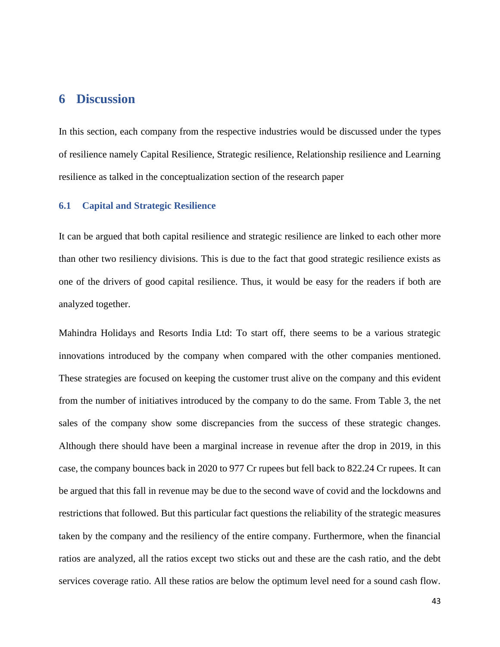## <span id="page-42-0"></span>**6 Discussion**

In this section, each company from the respective industries would be discussed under the types of resilience namely Capital Resilience, Strategic resilience, Relationship resilience and Learning resilience as talked in the conceptualization section of the research paper

#### <span id="page-42-1"></span>**6.1 Capital and Strategic Resilience**

It can be argued that both capital resilience and strategic resilience are linked to each other more than other two resiliency divisions. This is due to the fact that good strategic resilience exists as one of the drivers of good capital resilience. Thus, it would be easy for the readers if both are analyzed together.

Mahindra Holidays and Resorts India Ltd: To start off, there seems to be a various strategic innovations introduced by the company when compared with the other companies mentioned. These strategies are focused on keeping the customer trust alive on the company and this evident from the number of initiatives introduced by the company to do the same. From Table 3, the net sales of the company show some discrepancies from the success of these strategic changes. Although there should have been a marginal increase in revenue after the drop in 2019, in this case, the company bounces back in 2020 to 977 Cr rupees but fell back to 822.24 Cr rupees. It can be argued that this fall in revenue may be due to the second wave of covid and the lockdowns and restrictions that followed. But this particular fact questions the reliability of the strategic measures taken by the company and the resiliency of the entire company. Furthermore, when the financial ratios are analyzed, all the ratios except two sticks out and these are the cash ratio, and the debt services coverage ratio. All these ratios are below the optimum level need for a sound cash flow.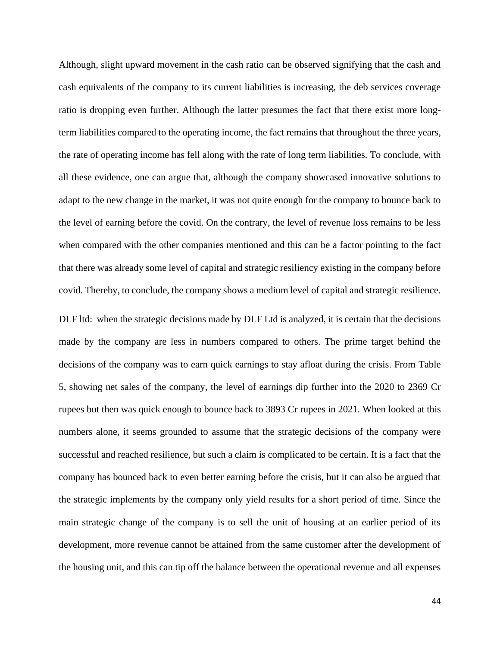Although, slight upward movement in the cash ratio can be observed signifying that the cash and cash equivalents of the company to its current liabilities is increasing, the deb services coverage ratio is dropping even further. Although the latter presumes the fact that there exist more longterm liabilities compared to the operating income, the fact remains that throughout the three years, the rate of operating income has fell along with the rate of long term liabilities. To conclude, with all these evidence, one can argue that, although the company showcased innovative solutions to adapt to the new change in the market, it was not quite enough for the company to bounce back to the level of earning before the covid. On the contrary, the level of revenue loss remains to be less when compared with the other companies mentioned and this can be a factor pointing to the fact that there was already some level of capital and strategic resiliency existing in the company before covid. Thereby, to conclude, the company shows a medium level of capital and strategic resilience.

DLF ltd: when the strategic decisions made by DLF Ltd is analyzed, it is certain that the decisions made by the company are less in numbers compared to others. The prime target behind the decisions of the company was to earn quick earnings to stay afloat during the crisis. From Table 5, showing net sales of the company, the level of earnings dip further into the 2020 to 2369 Cr rupees but then was quick enough to bounce back to 3893 Cr rupees in 2021. When looked at this numbers alone, it seems grounded to assume that the strategic decisions of the company were successful and reached resilience, but such a claim is complicated to be certain. It is a fact that the company has bounced back to even better earning before the crisis, but it can also be argued that the strategic implements by the company only yield results for a short period of time. Since the main strategic change of the company is to sell the unit of housing at an earlier period of its development, more revenue cannot be attained from the same customer after the development of the housing unit, and this can tip off the balance between the operational revenue and all expenses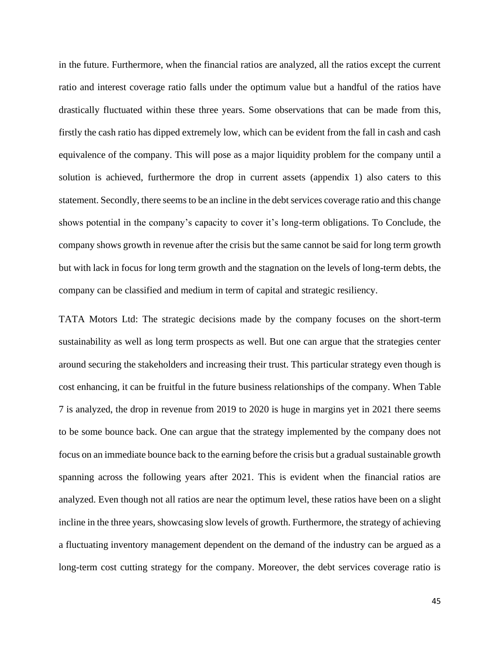in the future. Furthermore, when the financial ratios are analyzed, all the ratios except the current ratio and interest coverage ratio falls under the optimum value but a handful of the ratios have drastically fluctuated within these three years. Some observations that can be made from this, firstly the cash ratio has dipped extremely low, which can be evident from the fall in cash and cash equivalence of the company. This will pose as a major liquidity problem for the company until a solution is achieved, furthermore the drop in current assets (appendix 1) also caters to this statement. Secondly, there seems to be an incline in the debt services coverage ratio and this change shows potential in the company's capacity to cover it's long-term obligations. To Conclude, the company shows growth in revenue after the crisis but the same cannot be said for long term growth but with lack in focus for long term growth and the stagnation on the levels of long-term debts, the company can be classified and medium in term of capital and strategic resiliency.

TATA Motors Ltd: The strategic decisions made by the company focuses on the short-term sustainability as well as long term prospects as well. But one can argue that the strategies center around securing the stakeholders and increasing their trust. This particular strategy even though is cost enhancing, it can be fruitful in the future business relationships of the company. When Table 7 is analyzed, the drop in revenue from 2019 to 2020 is huge in margins yet in 2021 there seems to be some bounce back. One can argue that the strategy implemented by the company does not focus on an immediate bounce back to the earning before the crisis but a gradual sustainable growth spanning across the following years after 2021. This is evident when the financial ratios are analyzed. Even though not all ratios are near the optimum level, these ratios have been on a slight incline in the three years, showcasing slow levels of growth. Furthermore, the strategy of achieving a fluctuating inventory management dependent on the demand of the industry can be argued as a long-term cost cutting strategy for the company. Moreover, the debt services coverage ratio is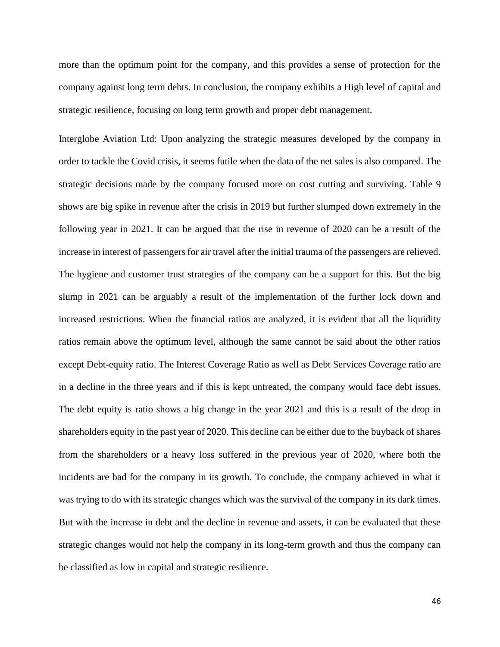more than the optimum point for the company, and this provides a sense of protection for the company against long term debts. In conclusion, the company exhibits a High level of capital and strategic resilience, focusing on long term growth and proper debt management.

Interglobe Aviation Ltd: Upon analyzing the strategic measures developed by the company in order to tackle the Covid crisis, it seems futile when the data of the net sales is also compared. The strategic decisions made by the company focused more on cost cutting and surviving. Table 9 shows are big spike in revenue after the crisis in 2019 but further slumped down extremely in the following year in 2021. It can be argued that the rise in revenue of 2020 can be a result of the increase in interest of passengers for air travel after the initial trauma of the passengers are relieved. The hygiene and customer trust strategies of the company can be a support for this. But the big slump in 2021 can be arguably a result of the implementation of the further lock down and increased restrictions. When the financial ratios are analyzed, it is evident that all the liquidity ratios remain above the optimum level, although the same cannot be said about the other ratios except Debt-equity ratio. The Interest Coverage Ratio as well as Debt Services Coverage ratio are in a decline in the three years and if this is kept untreated, the company would face debt issues. The debt equity is ratio shows a big change in the year 2021 and this is a result of the drop in shareholders equity in the past year of 2020. This decline can be either due to the buyback of shares from the shareholders or a heavy loss suffered in the previous year of 2020, where both the incidents are bad for the company in its growth. To conclude, the company achieved in what it was trying to do with its strategic changes which was the survival of the company in its dark times. But with the increase in debt and the decline in revenue and assets, it can be evaluated that these strategic changes would not help the company in its long-term growth and thus the company can be classified as low in capital and strategic resilience.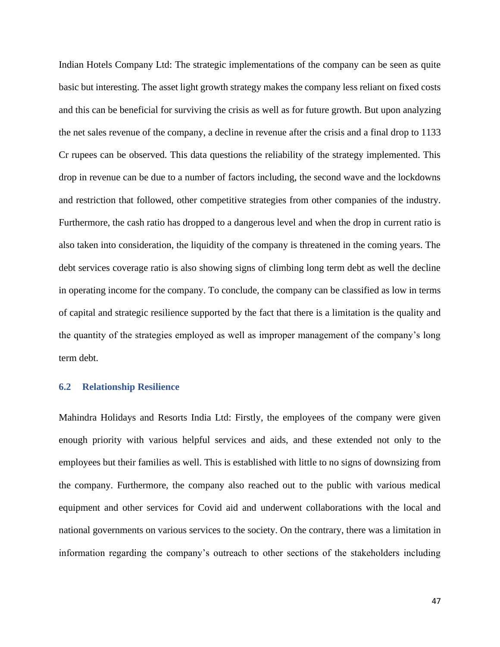Indian Hotels Company Ltd: The strategic implementations of the company can be seen as quite basic but interesting. The asset light growth strategy makes the company less reliant on fixed costs and this can be beneficial for surviving the crisis as well as for future growth. But upon analyzing the net sales revenue of the company, a decline in revenue after the crisis and a final drop to 1133 Cr rupees can be observed. This data questions the reliability of the strategy implemented. This drop in revenue can be due to a number of factors including, the second wave and the lockdowns and restriction that followed, other competitive strategies from other companies of the industry. Furthermore, the cash ratio has dropped to a dangerous level and when the drop in current ratio is also taken into consideration, the liquidity of the company is threatened in the coming years. The debt services coverage ratio is also showing signs of climbing long term debt as well the decline in operating income for the company. To conclude, the company can be classified as low in terms of capital and strategic resilience supported by the fact that there is a limitation is the quality and the quantity of the strategies employed as well as improper management of the company's long term debt.

#### <span id="page-46-0"></span>**6.2 Relationship Resilience**

Mahindra Holidays and Resorts India Ltd: Firstly, the employees of the company were given enough priority with various helpful services and aids, and these extended not only to the employees but their families as well. This is established with little to no signs of downsizing from the company. Furthermore, the company also reached out to the public with various medical equipment and other services for Covid aid and underwent collaborations with the local and national governments on various services to the society. On the contrary, there was a limitation in information regarding the company's outreach to other sections of the stakeholders including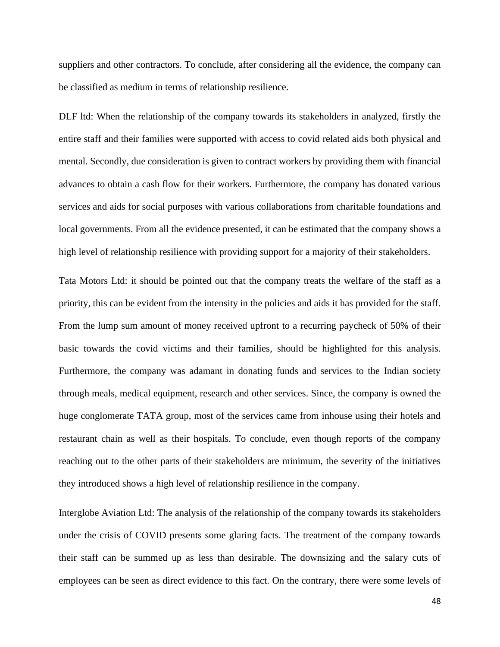suppliers and other contractors. To conclude, after considering all the evidence, the company can be classified as medium in terms of relationship resilience.

DLF ltd: When the relationship of the company towards its stakeholders in analyzed, firstly the entire staff and their families were supported with access to covid related aids both physical and mental. Secondly, due consideration is given to contract workers by providing them with financial advances to obtain a cash flow for their workers. Furthermore, the company has donated various services and aids for social purposes with various collaborations from charitable foundations and local governments. From all the evidence presented, it can be estimated that the company shows a high level of relationship resilience with providing support for a majority of their stakeholders.

Tata Motors Ltd: it should be pointed out that the company treats the welfare of the staff as a priority, this can be evident from the intensity in the policies and aids it has provided for the staff. From the lump sum amount of money received upfront to a recurring paycheck of 50% of their basic towards the covid victims and their families, should be highlighted for this analysis. Furthermore, the company was adamant in donating funds and services to the Indian society through meals, medical equipment, research and other services. Since, the company is owned the huge conglomerate TATA group, most of the services came from inhouse using their hotels and restaurant chain as well as their hospitals. To conclude, even though reports of the company reaching out to the other parts of their stakeholders are minimum, the severity of the initiatives they introduced shows a high level of relationship resilience in the company.

Interglobe Aviation Ltd: The analysis of the relationship of the company towards its stakeholders under the crisis of COVID presents some glaring facts. The treatment of the company towards their staff can be summed up as less than desirable. The downsizing and the salary cuts of employees can be seen as direct evidence to this fact. On the contrary, there were some levels of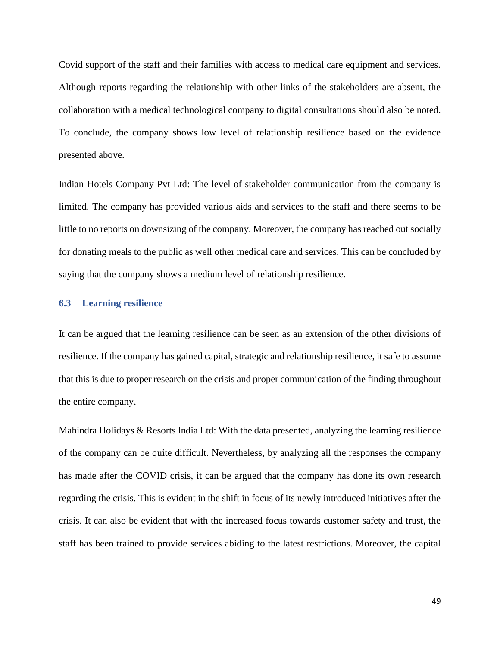Covid support of the staff and their families with access to medical care equipment and services. Although reports regarding the relationship with other links of the stakeholders are absent, the collaboration with a medical technological company to digital consultations should also be noted. To conclude, the company shows low level of relationship resilience based on the evidence presented above.

Indian Hotels Company Pvt Ltd: The level of stakeholder communication from the company is limited. The company has provided various aids and services to the staff and there seems to be little to no reports on downsizing of the company. Moreover, the company has reached out socially for donating meals to the public as well other medical care and services. This can be concluded by saying that the company shows a medium level of relationship resilience.

#### <span id="page-48-0"></span>**6.3 Learning resilience**

It can be argued that the learning resilience can be seen as an extension of the other divisions of resilience. If the company has gained capital, strategic and relationship resilience, it safe to assume that this is due to proper research on the crisis and proper communication of the finding throughout the entire company.

Mahindra Holidays & Resorts India Ltd: With the data presented, analyzing the learning resilience of the company can be quite difficult. Nevertheless, by analyzing all the responses the company has made after the COVID crisis, it can be argued that the company has done its own research regarding the crisis. This is evident in the shift in focus of its newly introduced initiatives after the crisis. It can also be evident that with the increased focus towards customer safety and trust, the staff has been trained to provide services abiding to the latest restrictions. Moreover, the capital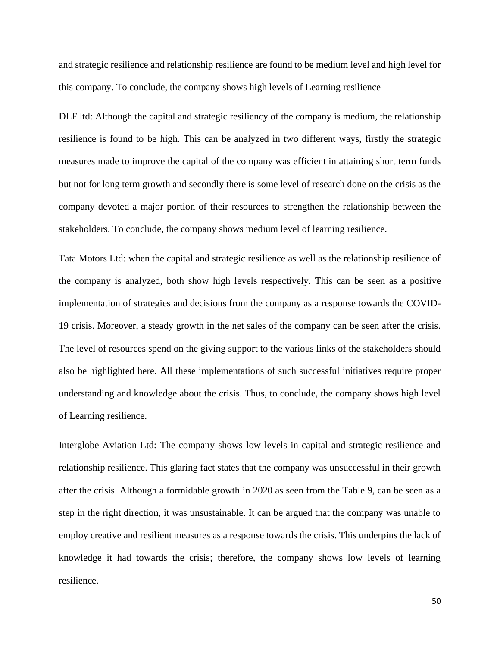and strategic resilience and relationship resilience are found to be medium level and high level for this company. To conclude, the company shows high levels of Learning resilience

DLF ltd: Although the capital and strategic resiliency of the company is medium, the relationship resilience is found to be high. This can be analyzed in two different ways, firstly the strategic measures made to improve the capital of the company was efficient in attaining short term funds but not for long term growth and secondly there is some level of research done on the crisis as the company devoted a major portion of their resources to strengthen the relationship between the stakeholders. To conclude, the company shows medium level of learning resilience.

Tata Motors Ltd: when the capital and strategic resilience as well as the relationship resilience of the company is analyzed, both show high levels respectively. This can be seen as a positive implementation of strategies and decisions from the company as a response towards the COVID-19 crisis. Moreover, a steady growth in the net sales of the company can be seen after the crisis. The level of resources spend on the giving support to the various links of the stakeholders should also be highlighted here. All these implementations of such successful initiatives require proper understanding and knowledge about the crisis. Thus, to conclude, the company shows high level of Learning resilience.

Interglobe Aviation Ltd: The company shows low levels in capital and strategic resilience and relationship resilience. This glaring fact states that the company was unsuccessful in their growth after the crisis. Although a formidable growth in 2020 as seen from the Table 9, can be seen as a step in the right direction, it was unsustainable. It can be argued that the company was unable to employ creative and resilient measures as a response towards the crisis. This underpins the lack of knowledge it had towards the crisis; therefore, the company shows low levels of learning resilience.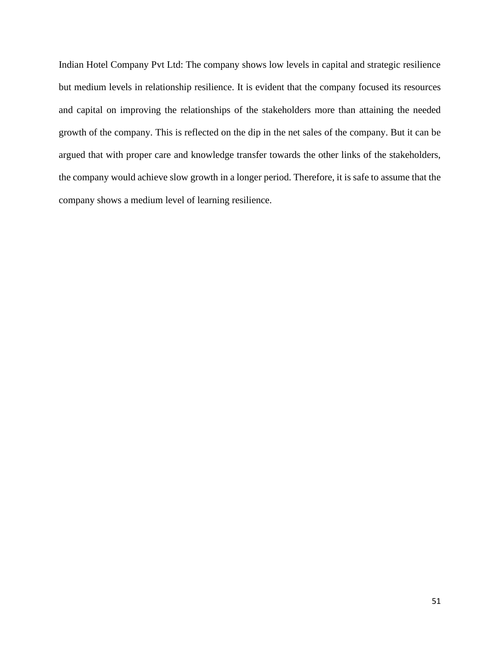Indian Hotel Company Pvt Ltd: The company shows low levels in capital and strategic resilience but medium levels in relationship resilience. It is evident that the company focused its resources and capital on improving the relationships of the stakeholders more than attaining the needed growth of the company. This is reflected on the dip in the net sales of the company. But it can be argued that with proper care and knowledge transfer towards the other links of the stakeholders, the company would achieve slow growth in a longer period. Therefore, it is safe to assume that the company shows a medium level of learning resilience.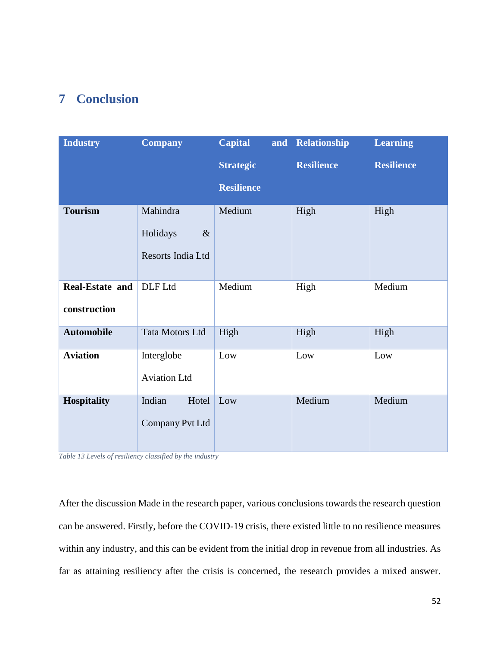# <span id="page-51-0"></span>**7 Conclusion**

| <b>Industry</b>        | <b>Company</b>      | <b>Capital</b>    | and Relationship  | <b>Learning</b>   |
|------------------------|---------------------|-------------------|-------------------|-------------------|
|                        |                     | <b>Strategic</b>  | <b>Resilience</b> | <b>Resilience</b> |
|                        |                     | <b>Resilience</b> |                   |                   |
| <b>Tourism</b>         | Mahindra            | Medium            | High              | High              |
|                        | $\&$<br>Holidays    |                   |                   |                   |
|                        | Resorts India Ltd   |                   |                   |                   |
| <b>Real-Estate and</b> | DLF Ltd             | Medium            | High              | Medium            |
| construction           |                     |                   |                   |                   |
| <b>Automobile</b>      | Tata Motors Ltd     | High              | High              | High              |
| <b>Aviation</b>        | Interglobe          | Low               | Low               | Low               |
|                        | <b>Aviation Ltd</b> |                   |                   |                   |
| <b>Hospitality</b>     | Indian<br>Hotel     | Low               | Medium            | Medium            |
|                        | Company Pvt Ltd     |                   |                   |                   |

<span id="page-51-1"></span>*Table 13 Levels of resiliency classified by the industry*

After the discussion Made in the research paper, various conclusions towards the research question can be answered. Firstly, before the COVID-19 crisis, there existed little to no resilience measures within any industry, and this can be evident from the initial drop in revenue from all industries. As far as attaining resiliency after the crisis is concerned, the research provides a mixed answer.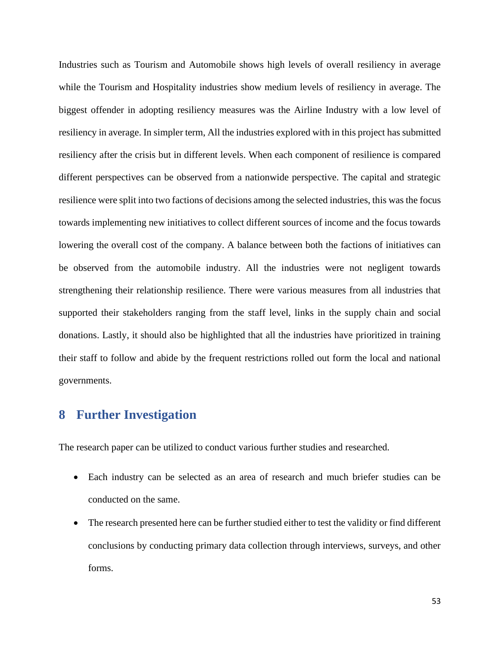Industries such as Tourism and Automobile shows high levels of overall resiliency in average while the Tourism and Hospitality industries show medium levels of resiliency in average. The biggest offender in adopting resiliency measures was the Airline Industry with a low level of resiliency in average. In simpler term, All the industries explored with in this project has submitted resiliency after the crisis but in different levels. When each component of resilience is compared different perspectives can be observed from a nationwide perspective. The capital and strategic resilience were split into two factions of decisions among the selected industries, this was the focus towards implementing new initiatives to collect different sources of income and the focus towards lowering the overall cost of the company. A balance between both the factions of initiatives can be observed from the automobile industry. All the industries were not negligent towards strengthening their relationship resilience. There were various measures from all industries that supported their stakeholders ranging from the staff level, links in the supply chain and social donations. Lastly, it should also be highlighted that all the industries have prioritized in training their staff to follow and abide by the frequent restrictions rolled out form the local and national governments.

## <span id="page-52-0"></span>**8 Further Investigation**

The research paper can be utilized to conduct various further studies and researched.

- Each industry can be selected as an area of research and much briefer studies can be conducted on the same.
- The research presented here can be further studied either to test the validity or find different conclusions by conducting primary data collection through interviews, surveys, and other forms.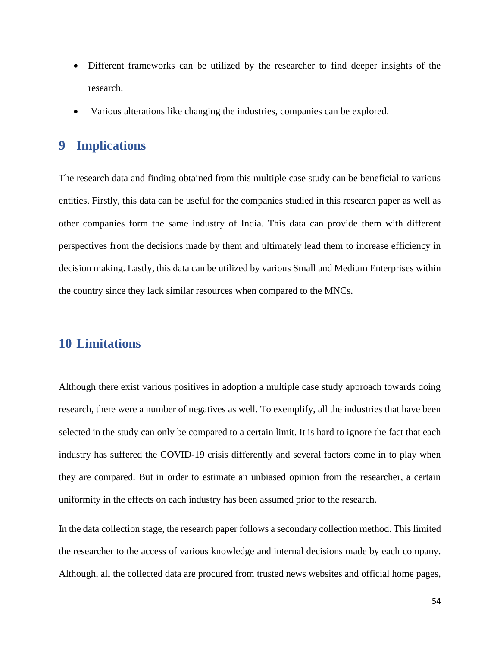- Different frameworks can be utilized by the researcher to find deeper insights of the research.
- Various alterations like changing the industries, companies can be explored.

## <span id="page-53-0"></span>**9 Implications**

The research data and finding obtained from this multiple case study can be beneficial to various entities. Firstly, this data can be useful for the companies studied in this research paper as well as other companies form the same industry of India. This data can provide them with different perspectives from the decisions made by them and ultimately lead them to increase efficiency in decision making. Lastly, this data can be utilized by various Small and Medium Enterprises within the country since they lack similar resources when compared to the MNCs.

# <span id="page-53-1"></span>**10 Limitations**

Although there exist various positives in adoption a multiple case study approach towards doing research, there were a number of negatives as well. To exemplify, all the industries that have been selected in the study can only be compared to a certain limit. It is hard to ignore the fact that each industry has suffered the COVID-19 crisis differently and several factors come in to play when they are compared. But in order to estimate an unbiased opinion from the researcher, a certain uniformity in the effects on each industry has been assumed prior to the research.

In the data collection stage, the research paper follows a secondary collection method. This limited the researcher to the access of various knowledge and internal decisions made by each company. Although, all the collected data are procured from trusted news websites and official home pages,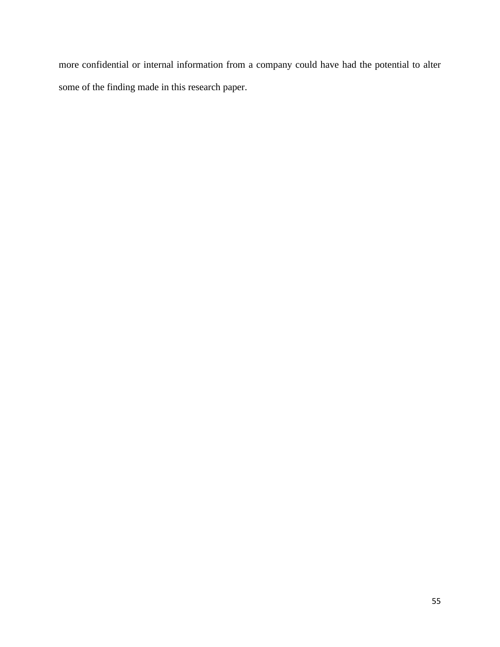more confidential or internal information from a company could have had the potential to alter some of the finding made in this research paper.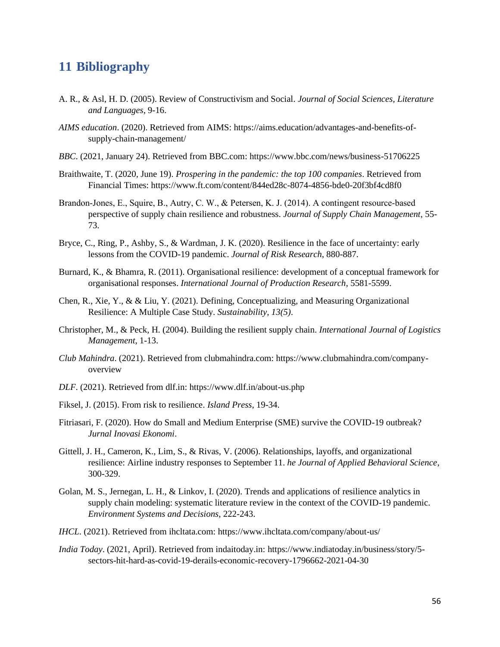## <span id="page-55-0"></span>**11 Bibliography**

- A. R., & Asl, H. D. (2005). Review of Constructivism and Social. *Journal of Social Sciences, Literature and Languages*, 9-16.
- *AIMS education*. (2020). Retrieved from AIMS: https://aims.education/advantages-and-benefits-ofsupply-chain-management/
- *BBC*. (2021, January 24). Retrieved from BBC.com: https://www.bbc.com/news/business-51706225
- Braithwaite, T. (2020, June 19). *Prospering in the pandemic: the top 100 companies*. Retrieved from Financial Times: https://www.ft.com/content/844ed28c-8074-4856-bde0-20f3bf4cd8f0
- Brandon‐Jones, E., Squire, B., Autry, C. W., & Petersen, K. J. (2014). A contingent resource‐based perspective of supply chain resilience and robustness. *Journal of Supply Chain Management*, 55- 73.
- Bryce, C., Ring, P., Ashby, S., & Wardman, J. K. (2020). Resilience in the face of uncertainty: early lessons from the COVID-19 pandemic. *Journal of Risk Research*, 880-887.
- Burnard, K., & Bhamra, R. (2011). Organisational resilience: development of a conceptual framework for organisational responses. *International Journal of Production Research*, 5581-5599.
- Chen, R., Xie, Y., & & Liu, Y. (2021). Defining, Conceptualizing, and Measuring Organizational Resilience: A Multiple Case Study. *Sustainability, 13(5)*.
- Christopher, M., & Peck, H. (2004). Building the resilient supply chain. *International Journal of Logistics Management*, 1-13.
- *Club Mahindra*. (2021). Retrieved from clubmahindra.com: https://www.clubmahindra.com/companyoverview
- *DLF*. (2021). Retrieved from dlf.in: https://www.dlf.in/about-us.php
- Fiksel, J. (2015). From risk to resilience. *Island Press*, 19-34.
- Fitriasari, F. (2020). How do Small and Medium Enterprise (SME) survive the COVID-19 outbreak? *Jurnal Inovasi Ekonomi*.
- Gittell, J. H., Cameron, K., Lim, S., & Rivas, V. (2006). Relationships, layoffs, and organizational resilience: Airline industry responses to September 11. *he Journal of Applied Behavioral Science*, 300-329.
- Golan, M. S., Jernegan, L. H., & Linkov, I. (2020). Trends and applications of resilience analytics in supply chain modeling: systematic literature review in the context of the COVID-19 pandemic. *Environment Systems and Decisions*, 222-243.
- *IHCL*. (2021). Retrieved from ihcltata.com: https://www.ihcltata.com/company/about-us/
- *India Today*. (2021, April). Retrieved from indaitoday.in: https://www.indiatoday.in/business/story/5 sectors-hit-hard-as-covid-19-derails-economic-recovery-1796662-2021-04-30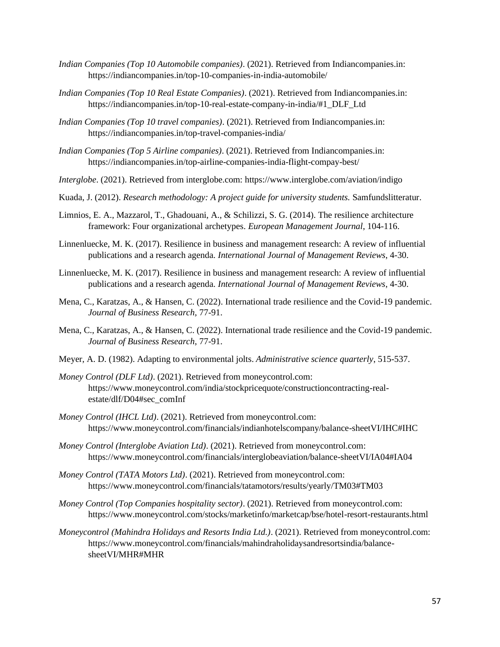- *Indian Companies (Top 10 Automobile companies)*. (2021). Retrieved from Indiancompanies.in: https://indiancompanies.in/top-10-companies-in-india-automobile/
- *Indian Companies (Top 10 Real Estate Companies)*. (2021). Retrieved from Indiancompanies.in: https://indiancompanies.in/top-10-real-estate-company-in-india/#1\_DLF\_Ltd
- *Indian Companies (Top 10 travel companies)*. (2021). Retrieved from Indiancompanies.in: https://indiancompanies.in/top-travel-companies-india/
- *Indian Companies (Top 5 Airline companies)*. (2021). Retrieved from Indiancompanies.in: https://indiancompanies.in/top-airline-companies-india-flight-compay-best/
- *Interglobe*. (2021). Retrieved from interglobe.com: https://www.interglobe.com/aviation/indigo
- Kuada, J. (2012). *Research methodology: A project guide for university students.* Samfundslitteratur.
- Limnios, E. A., Mazzarol, T., Ghadouani, A., & Schilizzi, S. G. (2014). The resilience architecture framework: Four organizational archetypes. *European Management Journal*, 104-116.
- Linnenluecke, M. K. (2017). Resilience in business and management research: A review of influential publications and a research agenda. *International Journal of Management Reviews*, 4-30.
- Linnenluecke, M. K. (2017). Resilience in business and management research: A review of influential publications and a research agenda. *International Journal of Management Reviews*, 4-30.
- Mena, C., Karatzas, A., & Hansen, C. (2022). International trade resilience and the Covid-19 pandemic. *Journal of Business Research*, 77-91.
- Mena, C., Karatzas, A., & Hansen, C. (2022). International trade resilience and the Covid-19 pandemic. *Journal of Business Research*, 77-91.
- Meyer, A. D. (1982). Adapting to environmental jolts. *Administrative science quarterly*, 515-537.
- *Money Control (DLF Ltd)*. (2021). Retrieved from moneycontrol.com: https://www.moneycontrol.com/india/stockpricequote/constructioncontracting-realestate/dlf/D04#sec\_comInf
- *Money Control (IHCL Ltd)*. (2021). Retrieved from moneycontrol.com: https://www.moneycontrol.com/financials/indianhotelscompany/balance-sheetVI/IHC#IHC
- *Money Control (Interglobe Aviation Ltd)*. (2021). Retrieved from moneycontrol.com: https://www.moneycontrol.com/financials/interglobeaviation/balance-sheetVI/IA04#IA04
- *Money Control (TATA Motors Ltd)*. (2021). Retrieved from moneycontrol.com: https://www.moneycontrol.com/financials/tatamotors/results/yearly/TM03#TM03
- *Money Control (Top Companies hospitality sector)*. (2021). Retrieved from moneycontrol.com: https://www.moneycontrol.com/stocks/marketinfo/marketcap/bse/hotel-resort-restaurants.html
- *Moneycontrol (Mahindra Holidays and Resorts India Ltd.)*. (2021). Retrieved from moneycontrol.com: https://www.moneycontrol.com/financials/mahindraholidaysandresortsindia/balancesheetVI/MHR#MHR